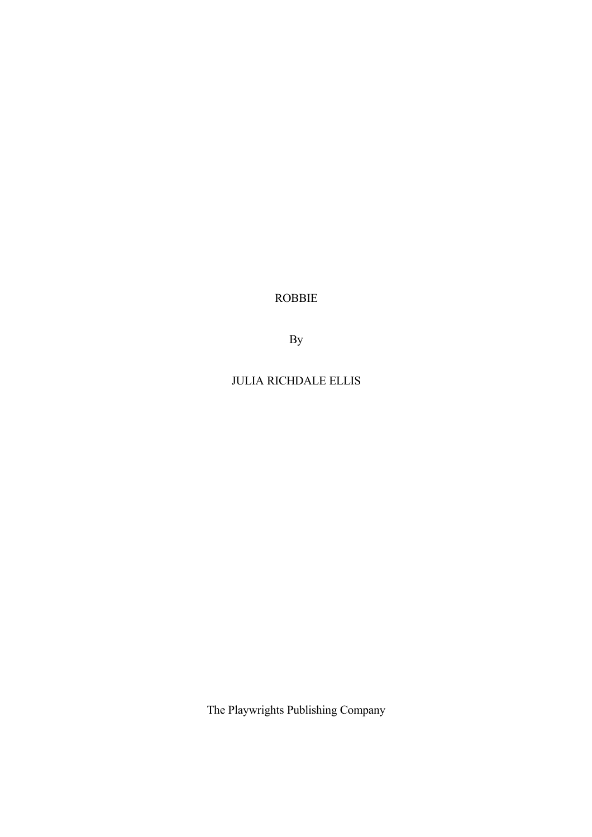ROBBIE

By

JULIA RICHDALE ELLIS

The Playwrights Publishing Company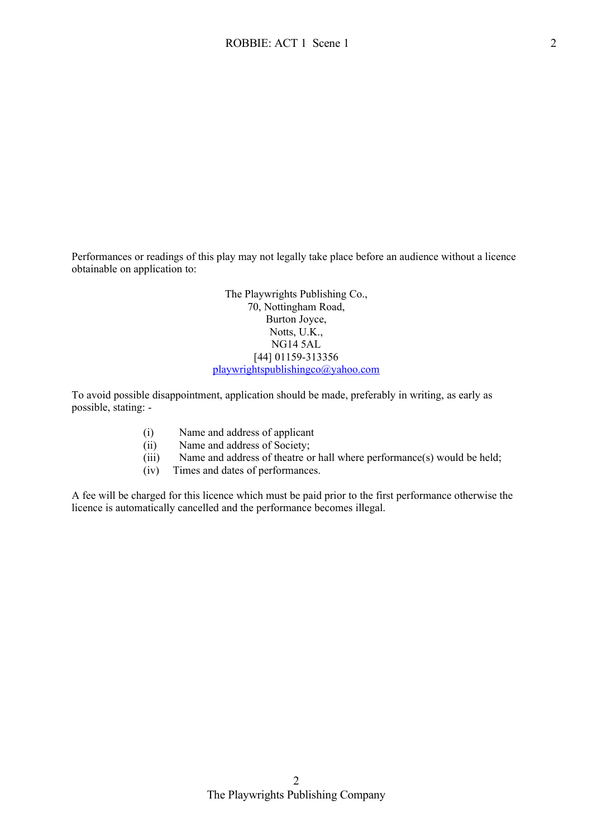Performances or readings of this play may not legally take place before an audience without a licence obtainable on application to:

> The Playwrights Publishing Co., 70, Nottingham Road, Burton Joyce, Notts, U.K., NG14 5AL [44] 01159-313356 [playwrightspublishingco@yahoo.com](mailto:playwrightspublishingco@yahoo.com)

To avoid possible disappointment, application should be made, preferably in writing, as early as possible, stating: -

- (i) Name and address of applicant
- (ii) Name and address of Society;
- (iii) Name and address of theatre or hall where performance(s) would be held;
- (iv) Times and dates of performances.

A fee will be charged for this licence which must be paid prior to the first performance otherwise the licence is automatically cancelled and the performance becomes illegal.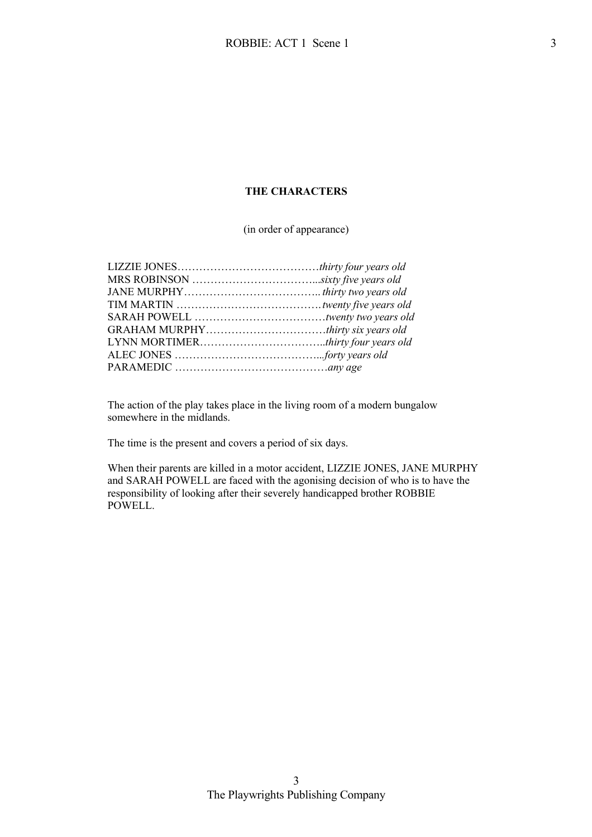## **THE CHARACTERS**

(in order of appearance)

The action of the play takes place in the living room of a modern bungalow somewhere in the midlands.

The time is the present and covers a period of six days.

When their parents are killed in a motor accident, LIZZIE JONES, JANE MURPHY and SARAH POWELL are faced with the agonising decision of who is to have the responsibility of looking after their severely handicapped brother ROBBIE POWELL.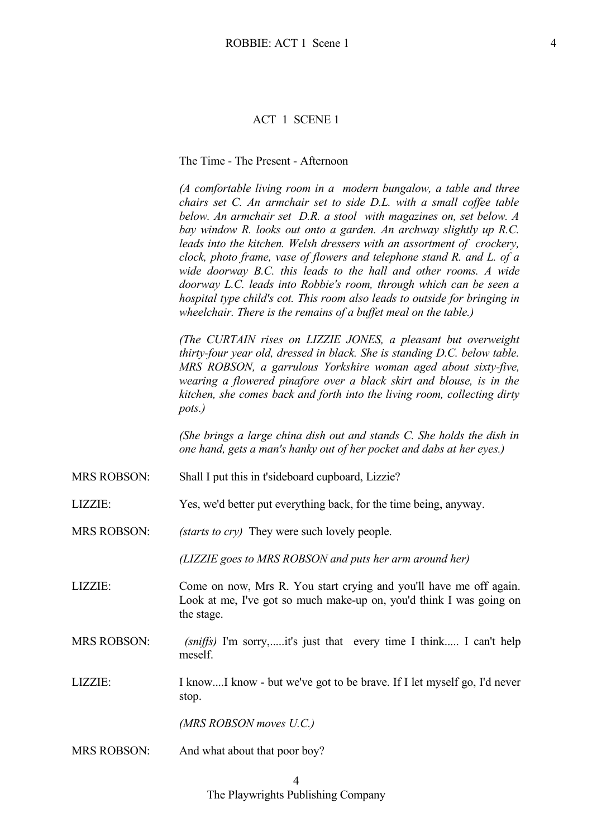#### ACT 1 SCENE 1

## The Time - The Present - Afternoon

*(A comfortable living room in a modern bungalow, a table and three chairs set C. An armchair set to side D.L. with a small coffee table below. An armchair set D.R. a stool with magazines on, set below. A bay window R. looks out onto a garden. An archway slightly up R.C. leads into the kitchen. Welsh dressers with an assortment of crockery, clock, photo frame, vase of flowers and telephone stand R. and L. of a wide doorway B.C. this leads to the hall and other rooms. A wide doorway L.C. leads into Robbie's room, through which can be seen a hospital type child's cot. This room also leads to outside for bringing in wheelchair. There is the remains of a buffet meal on the table.)*

*(The CURTAIN rises on LIZZIE JONES, a pleasant but overweight thirty-four year old, dressed in black. She is standing D.C. below table. MRS ROBSON, a garrulous Yorkshire woman aged about sixty-five, wearing a flowered pinafore over a black skirt and blouse, is in the kitchen, she comes back and forth into the living room, collecting dirty pots.)*

*(She brings a large china dish out and stands C. She holds the dish in one hand, gets a man's hanky out of her pocket and dabs at her eyes.)*

- MRS ROBSON: Shall I put this in t'sideboard cupboard, Lizzie?
- LIZZIE: Yes, we'd better put everything back, for the time being, anyway.

MRS ROBSON: *(starts to cry)* They were such lovely people.

*(LIZZIE goes to MRS ROBSON and puts her arm around her)*

- LIZZIE: Come on now, Mrs R. You start crying and you'll have me off again. Look at me, I've got so much make-up on, you'd think I was going on the stage.
- MRS ROBSON: *(sniffs)* I'm sorry,.....it's just that every time I think..... I can't help meself.
- LIZZIE: I know....I know but we've got to be brave. If I let myself go, I'd never stop.

*(MRS ROBSON moves U.C.)*

MRS ROBSON: And what about that poor boy?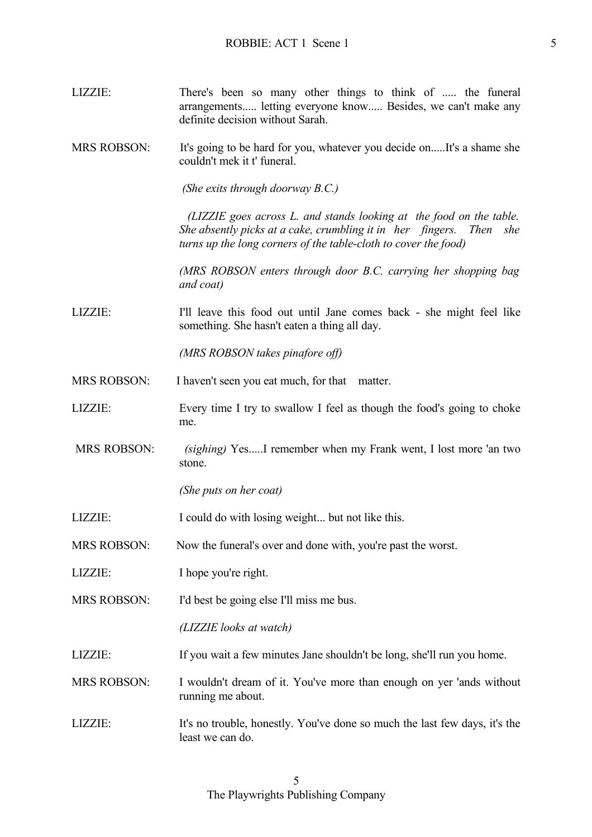- LIZZIE: There's been so many other things to think of ..... the funeral arrangements..... letting everyone know..... Besides, we can't make any definite decision without Sarah.
- MRS ROBSON: It's going to be hard for you, whatever you decide on.....It's a shame she couldn't mek it t' funeral.

*(She exits through doorway B.C.)*

 *(LIZZIE goes across L. and stands looking at the food on the table. She absently picks at a cake, crumbling it in her fingers. Then she turns up the long corners of the table-cloth to cover the food)*

 *(MRS ROBSON enters through door B.C. carrying her shopping bag and coat)*

LIZZIE: I'll leave this food out until Jane comes back - she might feel like something. She hasn't eaten a thing all day.

*(MRS ROBSON takes pinafore off)*

- MRS ROBSON: I haven't seen you eat much, for that matter.
- LIZZIE: Every time I try to swallow I feel as though the food's going to choke me.
- MRS ROBSON: *(sighing)* Yes.....I remember when my Frank went, I lost more 'an two stone.

*(She puts on her coat)*

- LIZZIE: I could do with losing weight... but not like this.
- MRS ROBSON: Now the funeral's over and done with, you're past the worst.
- LIZZIE: I hope you're right.
- MRS ROBSON: I'd best be going else I'll miss me bus.

*(LIZZIE looks at watch)*

LIZZIE: If you wait a few minutes Jane shouldn't be long, she'll run you home.

MRS ROBSON: I wouldn't dream of it. You've more than enough on yer 'ands without running me about.

LIZZIE: It's no trouble, honestly. You've done so much the last few days, it's the least we can do.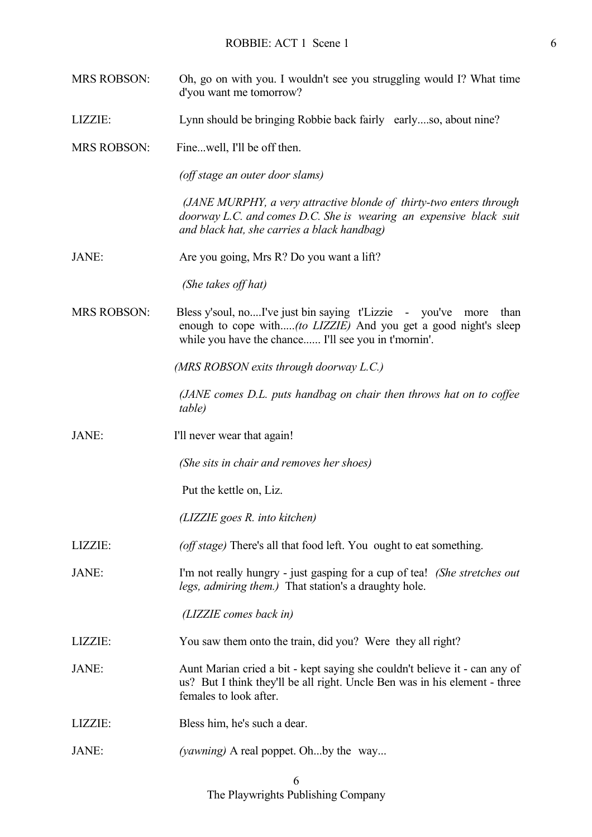- MRS ROBSON: Oh, go on with you. I wouldn't see you struggling would I? What time d'you want me tomorrow?
- LIZZIE: Lynn should be bringing Robbie back fairly early....so, about nine?
- MRS ROBSON: Fine...well, I'll be off then.

*(off stage an outer door slams)*

 *(JANE MURPHY, a very attractive blonde of thirty-two enters through doorway L.C. and comes D.C. She is wearing an expensive black suit and black hat, she carries a black handbag)*

JANE: Are you going, Mrs R? Do you want a lift?

*(She takes off hat)*

MRS ROBSON: Bless y'soul, no....I've just bin saying t'Lizzie - you've more than enough to cope with.....*(to LIZZIE)* And you get a good night's sleep while you have the chance...... I'll see you in t'mornin'.

*(MRS ROBSON exits through doorway L.C.)*

 *(JANE comes D.L. puts handbag on chair then throws hat on to coffee table)*

JANE: I'll never wear that again!

 *(She sits in chair and removes her shoes)*

Put the kettle on, Liz.

*(LIZZIE goes R. into kitchen)*

- LIZZIE: *(off stage)* There's all that food left. You ought to eat something.
- JANE: I'm not really hungry just gasping for a cup of tea! *(She stretches out legs, admiring them.)* That station's a draughty hole.

 *(LIZZIE comes back in)*

LIZZIE: You saw them onto the train, did you? Were they all right?

JANE: Aunt Marian cried a bit - kept saying she couldn't believe it - can any of us? But I think they'll be all right. Uncle Ben was in his element - three females to look after.

- LIZZIE: Bless him, he's such a dear.
- JANE: *(yawning)* A real poppet. Oh...by the way...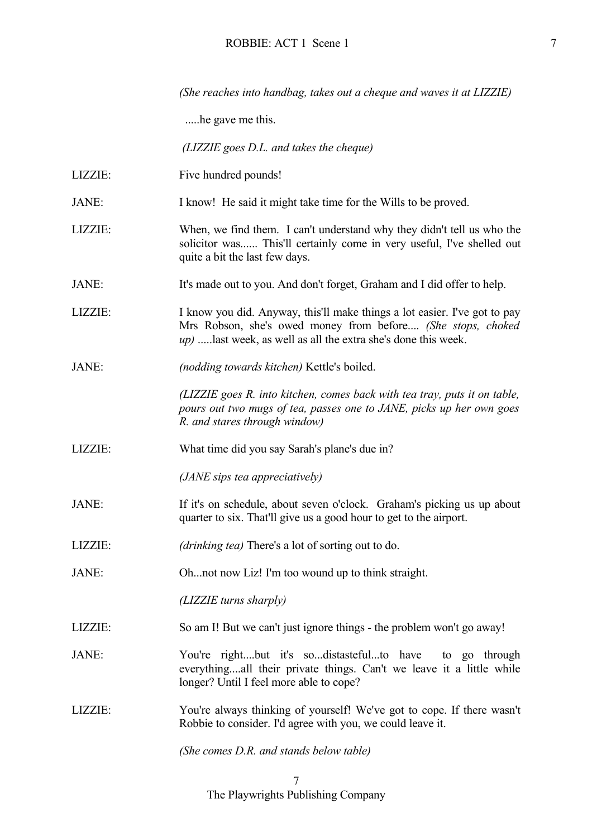*(She reaches into handbag, takes out a cheque and waves it at LIZZIE)*

.....he gave me this.

 *(LIZZIE goes D.L. and takes the cheque)*

- LIZZIE: Five hundred pounds!
- JANE: I know! He said it might take time for the Wills to be proved.
- LIZZIE: When, we find them. I can't understand why they didn't tell us who the solicitor was...... This'll certainly come in very useful, I've shelled out quite a bit the last few days.
- JANE: It's made out to you. And don't forget, Graham and I did offer to help.
- LIZZIE: I know you did. Anyway, this'll make things a lot easier. I've got to pay Mrs Robson, she's owed money from before.... *(She stops, choked up)* .....last week, as well as all the extra she's done this week.
- JANE: *(nodding towards kitchen)* Kettle's boiled.

 *(LIZZIE goes R. into kitchen, comes back with tea tray, puts it on table, pours out two mugs of tea, passes one to JANE, picks up her own goes R. and stares through window)*

LIZZIE: What time did you say Sarah's plane's due in?

*(JANE sips tea appreciatively)*

- JANE: If it's on schedule, about seven o'clock. Graham's picking us up about quarter to six. That'll give us a good hour to get to the airport.
- LIZZIE: *(drinking tea)* There's a lot of sorting out to do.
- JANE: Oh...not now Liz! I'm too wound up to think straight.

*(LIZZIE turns sharply)*

- LIZZIE: So am I! But we can't just ignore things the problem won't go away!
- JANE:  $You're right...but it's so...distasteful...to have to go through$ everything....all their private things. Can't we leave it a little while longer? Until I feel more able to cope?
- LIZZIE: You're always thinking of yourself! We've got to cope. If there wasn't Robbie to consider. I'd agree with you, we could leave it.

*(She comes D.R. and stands below table)*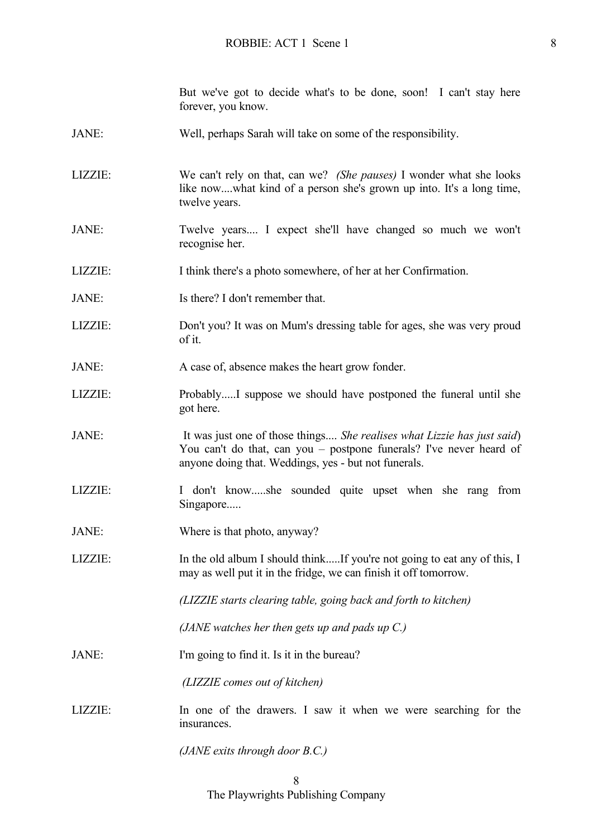But we've got to decide what's to be done, soon! I can't stay here forever, you know.

- JANE: Well, perhaps Sarah will take on some of the responsibility.
- LIZZIE: We can't rely on that, can we? *(She pauses)* I wonder what she looks like now....what kind of a person she's grown up into. It's a long time, twelve years.
- JANE: Twelve years.... I expect she'll have changed so much we won't recognise her.
- LIZZIE: I think there's a photo somewhere, of her at her Confirmation.
- JANE: Is there? I don't remember that.
- LIZZIE: Don't you? It was on Mum's dressing table for ages, she was very proud of it.
- JANE: A case of, absence makes the heart grow fonder.
- LIZZIE: Probably.....I suppose we should have postponed the funeral until she got here.
- JANE: It was just one of those things.... *She realises what Lizzie has just said*) You can't do that, can you – postpone funerals? I've never heard of anyone doing that. Weddings, yes - but not funerals.
- LIZZIE: I don't know.....she sounded quite upset when she rang from Singapore.....
- JANE: Where is that photo, anyway?
- LIZZIE: In the old album I should think.....If you're not going to eat any of this, I may as well put it in the fridge, we can finish it off tomorrow.

*(LIZZIE starts clearing table, going back and forth to kitchen)*

*(JANE watches her then gets up and pads up C.)*

JANE: I'm going to find it. Is it in the bureau?

 *(LIZZIE comes out of kitchen)*

LIZZIE: In one of the drawers. I saw it when we were searching for the insurances.

*(JANE exits through door B.C.)*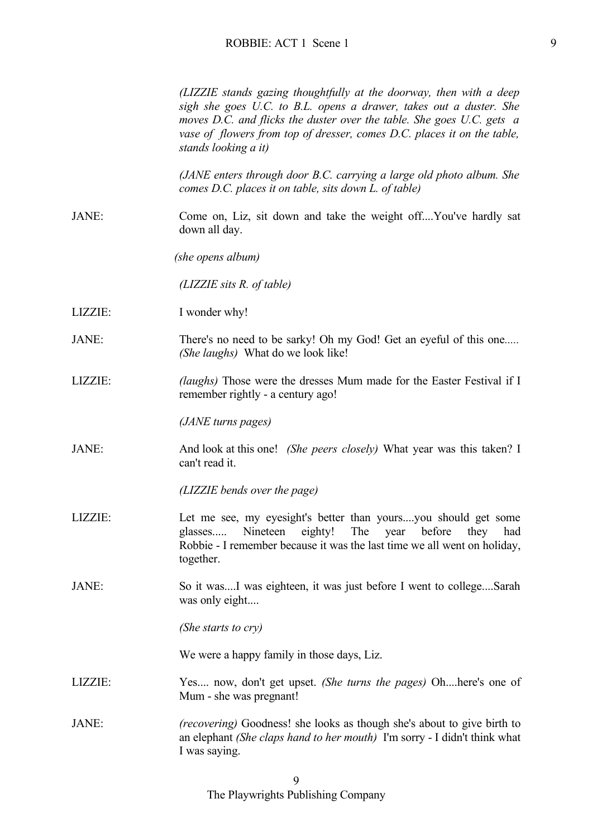*(LIZZIE stands gazing thoughtfully at the doorway, then with a deep sigh she goes U.C. to B.L. opens a drawer, takes out a duster. She moves D.C. and flicks the duster over the table. She goes U.C. gets a vase of flowers from top of dresser, comes D.C. places it on the table, stands looking a it)*

 *(JANE enters through door B.C. carrying a large old photo album. She comes D.C. places it on table, sits down L. of table)*

JANE: Come on, Liz, sit down and take the weight off....You've hardly sat down all day.

*(she opens album)*

*(LIZZIE sits R. of table)*

- LIZZIE: I wonder why!
- JANE: There's no need to be sarky! Oh my God! Get an eyeful of this one*..... (She laughs)* What do we look like!
- LIZZIE: *(laughs)* Those were the dresses Mum made for the Easter Festival if I remember rightly - a century ago!

*(JANE turns pages)*

JANE: And look at this one! *(She peers closely)* What year was this taken? I can't read it.

*(LIZZIE bends over the page)*

- LIZZIE: Let me see, my eyesight's better than yours....you should get some glasses..... Nineteen eighty! The year before they had Robbie - I remember because it was the last time we all went on holiday, together.
- JANE: So it was....I was eighteen, it was just before I went to college....Sarah was only eight....

*(She starts to cry)*

We were a happy family in those days, Liz.

- LIZZIE: Yes.... now, don't get upset. *(She turns the pages)* Oh....here's one of Mum - she was pregnant!
- JANE: *(recovering)* Goodness! she looks as though she's about to give birth to an elephant *(She claps hand to her mouth)* I'm sorry - I didn't think what I was saying.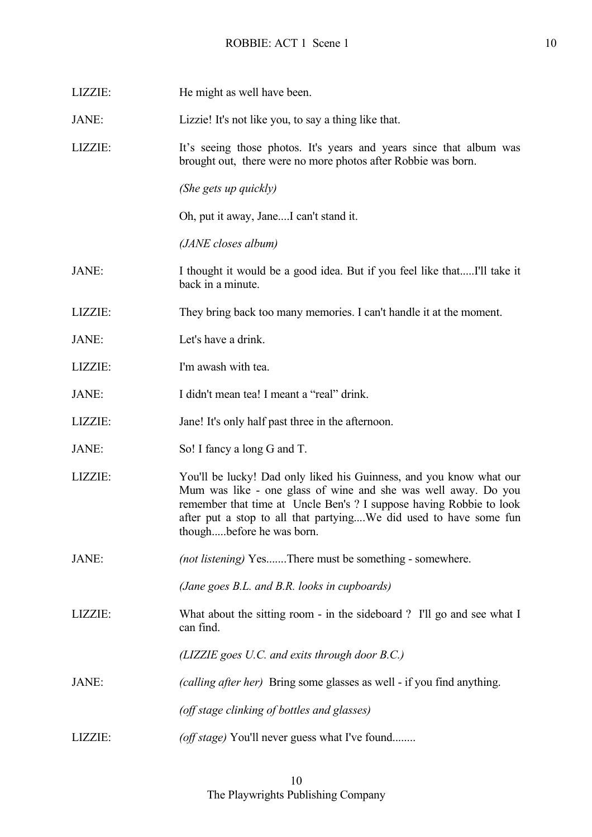| LIZZIE: | He might as well have been.                                                                                                                                                                                                                                                                                    |
|---------|----------------------------------------------------------------------------------------------------------------------------------------------------------------------------------------------------------------------------------------------------------------------------------------------------------------|
| JANE:   | Lizzie! It's not like you, to say a thing like that.                                                                                                                                                                                                                                                           |
| LIZZIE: | It's seeing those photos. It's years and years since that album was<br>brought out, there were no more photos after Robbie was born.                                                                                                                                                                           |
|         | (She gets up quickly)                                                                                                                                                                                                                                                                                          |
|         | Oh, put it away, JaneI can't stand it.                                                                                                                                                                                                                                                                         |
|         | (JANE closes album)                                                                                                                                                                                                                                                                                            |
| JANE:   | I thought it would be a good idea. But if you feel like thatI'll take it<br>back in a minute.                                                                                                                                                                                                                  |
| LIZZIE: | They bring back too many memories. I can't handle it at the moment.                                                                                                                                                                                                                                            |
| JANE:   | Let's have a drink.                                                                                                                                                                                                                                                                                            |
| LIZZIE: | I'm awash with tea.                                                                                                                                                                                                                                                                                            |
| JANE:   | I didn't mean tea! I meant a "real" drink.                                                                                                                                                                                                                                                                     |
| LIZZIE: | Jane! It's only half past three in the afternoon.                                                                                                                                                                                                                                                              |
| JANE:   | So! I fancy a long G and T.                                                                                                                                                                                                                                                                                    |
| LIZZIE: | You'll be lucky! Dad only liked his Guinness, and you know what our<br>Mum was like - one glass of wine and she was well away. Do you<br>remember that time at Uncle Ben's ? I suppose having Robbie to look<br>after put a stop to all that partyingWe did used to have some fun<br>thoughbefore he was born. |
| JANE:   | <i>(not listening)</i> YesThere must be something - somewhere.                                                                                                                                                                                                                                                 |
|         | (Jane goes B.L. and B.R. looks in cupboards)                                                                                                                                                                                                                                                                   |
| LIZZIE: | What about the sitting room - in the sideboard ? I'll go and see what I<br>can find.                                                                                                                                                                                                                           |
|         | (LIZZIE goes U.C. and exits through door B.C.)                                                                                                                                                                                                                                                                 |
| JANE:   | (calling after her) Bring some glasses as well - if you find anything.                                                                                                                                                                                                                                         |
|         | (off stage clinking of bottles and glasses)                                                                                                                                                                                                                                                                    |
| LIZZIE: | (off stage) You'll never guess what I've found                                                                                                                                                                                                                                                                 |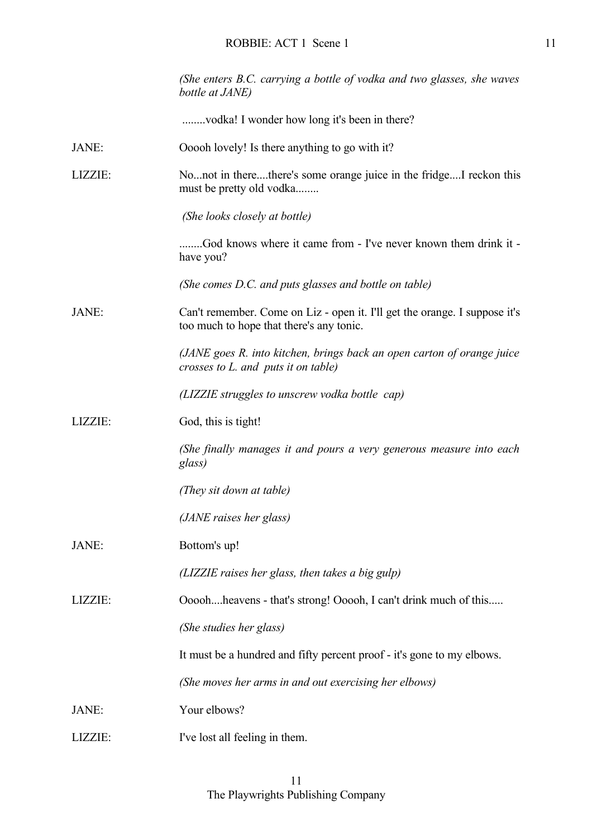|         | (She enters B.C. carrying a bottle of vodka and two glasses, she waves<br>bottle at JANE)                              |
|---------|------------------------------------------------------------------------------------------------------------------------|
|         | vodka! I wonder how long it's been in there?                                                                           |
| JANE:   | Ooooh lovely! Is there anything to go with it?                                                                         |
| LIZZIE: | Nonot in therethere's some orange juice in the fridgeI reckon this<br>must be pretty old vodka                         |
|         | (She looks closely at bottle)                                                                                          |
|         | God knows where it came from - I've never known them drink it -<br>have you?                                           |
|         | (She comes D.C. and puts glasses and bottle on table)                                                                  |
| JANE:   | Can't remember. Come on Liz - open it. I'll get the orange. I suppose it's<br>too much to hope that there's any tonic. |
|         | (JANE goes R. into kitchen, brings back an open carton of orange juice<br>crosses to L. and puts it on table)          |
|         | (LIZZIE struggles to unscrew vodka bottle cap)                                                                         |
| LIZZIE: | God, this is tight!                                                                                                    |
|         | (She finally manages it and pours a very generous measure into each<br>glass)                                          |
|         | (They sit down at table)                                                                                               |
|         | (JANE raises her glass)                                                                                                |
| JANE:   | Bottom's up!                                                                                                           |
|         | (LIZZIE raises her glass, then takes a big gulp)                                                                       |
| LIZZIE: | Oooohheavens - that's strong! Ooooh, I can't drink much of this                                                        |
|         | (She studies her glass)                                                                                                |
|         | It must be a hundred and fifty percent proof - it's gone to my elbows.                                                 |
|         | (She moves her arms in and out exercising her elbows)                                                                  |
| JANE:   | Your elbows?                                                                                                           |
| LIZZIE: | I've lost all feeling in them.                                                                                         |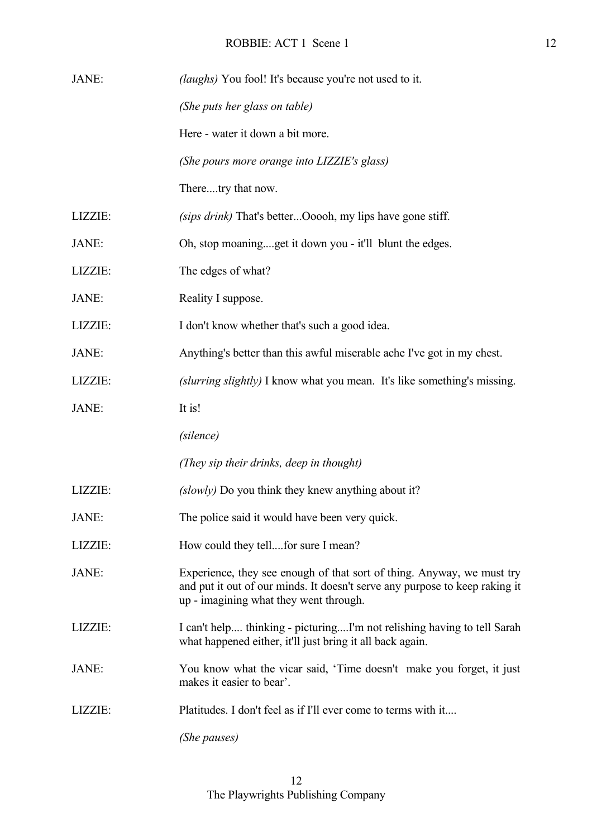| JANE:   | <i>(laughs)</i> You fool! It's because you're not used to it.                                                                                                                                   |
|---------|-------------------------------------------------------------------------------------------------------------------------------------------------------------------------------------------------|
|         | (She puts her glass on table)                                                                                                                                                                   |
|         | Here - water it down a bit more.                                                                                                                                                                |
|         | (She pours more orange into LIZZIE's glass)                                                                                                                                                     |
|         | Theretry that now.                                                                                                                                                                              |
| LIZZIE: | (sips drink) That's betterOoooh, my lips have gone stiff.                                                                                                                                       |
| JANE:   | Oh, stop moaningget it down you - it'll blunt the edges.                                                                                                                                        |
| LIZZIE: | The edges of what?                                                                                                                                                                              |
| JANE:   | Reality I suppose.                                                                                                                                                                              |
| LIZZIE: | I don't know whether that's such a good idea.                                                                                                                                                   |
| JANE:   | Anything's better than this awful miserable ache I've got in my chest.                                                                                                                          |
| LIZZIE: | (slurring slightly) I know what you mean. It's like something's missing.                                                                                                                        |
| JANE:   | It is!                                                                                                                                                                                          |
|         | (silence)                                                                                                                                                                                       |
|         | (They sip their drinks, deep in thought)                                                                                                                                                        |
| LIZZIE: | (slowly) Do you think they knew anything about it?                                                                                                                                              |
| JANE:   | The police said it would have been very quick.                                                                                                                                                  |
| LIZZIE: | How could they tellfor sure I mean?                                                                                                                                                             |
| JANE:   | Experience, they see enough of that sort of thing. Anyway, we must try<br>and put it out of our minds. It doesn't serve any purpose to keep raking it<br>up - imagining what they went through. |
| LIZZIE: | I can't help thinking - picturingI'm not relishing having to tell Sarah<br>what happened either, it'll just bring it all back again.                                                            |
| JANE:   | You know what the vicar said, 'Time doesn't make you forget, it just<br>makes it easier to bear'.                                                                                               |
| LIZZIE: | Platitudes. I don't feel as if I'll ever come to terms with it                                                                                                                                  |
|         | (She pauses)                                                                                                                                                                                    |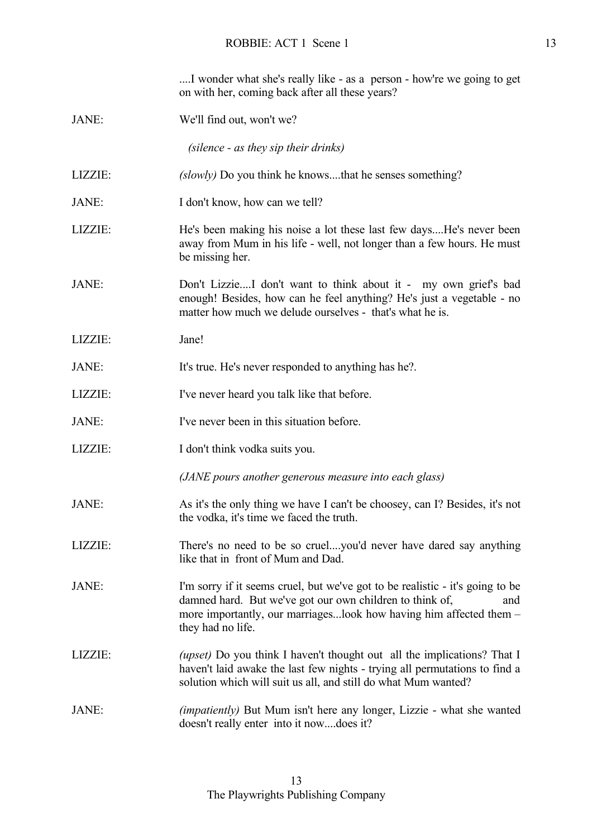| I wonder what she's really like - as a person - how're we going to get |  |
|------------------------------------------------------------------------|--|
| on with her, coming back after all these years?                        |  |

JANE: We'll find out, won't we?

 *(silence - as they sip their drinks)*

- LIZZIE: *(slowly)* Do you think he knows....that he senses something?
- JANE: I don't know, how can we tell?
- LIZZIE: He's been making his noise a lot these last few days....He's never been away from Mum in his life - well, not longer than a few hours. He must be missing her.
- JANE: Don't Lizzie....I don't want to think about it my own grief's bad enough! Besides, how can he feel anything? He's just a vegetable - no matter how much we delude ourselves - that's what he is.
- LIZZIE: Jane!
- JANE: It's true. He's never responded to anything has he?.
- LIZZIE: I've never heard you talk like that before.
- JANE: I've never been in this situation before.
- LIZZIE: I don't think vodka suits you.
	- *(JANE pours another generous measure into each glass)*
- JANE: As it's the only thing we have I can't be choosey, can I? Besides, it's not the vodka, it's time we faced the truth.
- LIZZIE: There's no need to be so cruel....you'd never have dared say anything like that in front of Mum and Dad.
- JANE: I'm sorry if it seems cruel, but we've got to be realistic it's going to be damned hard. But we've got our own children to think of, and more importantly, our marriages...look how having him affected them – they had no life.
- LIZZIE: *(upset)* Do you think I haven't thought out all the implications? That I haven't laid awake the last few nights - trying all permutations to find a solution which will suit us all, and still do what Mum wanted?
- JANE: *(impatiently)* But Mum isn't here any longer, Lizzie what she wanted doesn't really enter into it now....does it?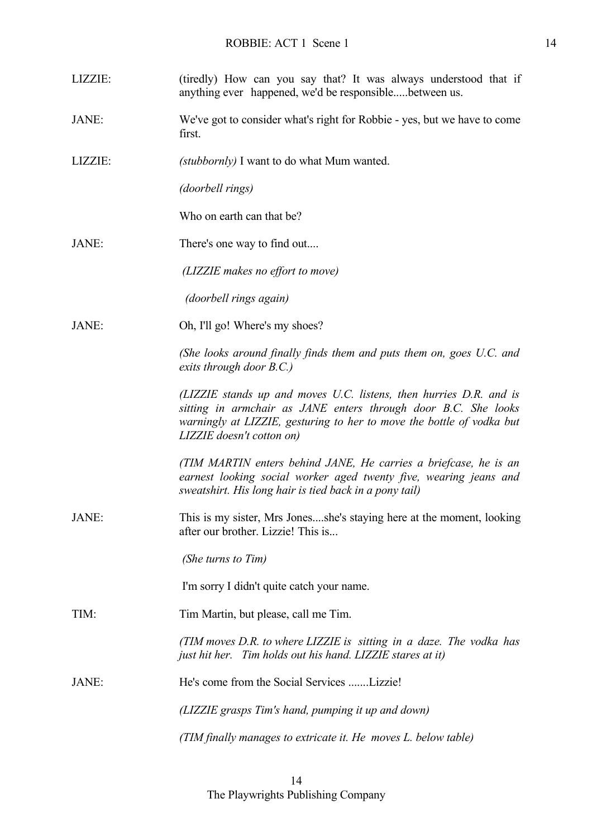| LIZZIE:      | (tiredly) How can you say that? It was always understood that if<br>anything ever happened, we'd be responsiblebetween us.                                                                                                                 |
|--------------|--------------------------------------------------------------------------------------------------------------------------------------------------------------------------------------------------------------------------------------------|
| JANE:        | We've got to consider what's right for Robbie - yes, but we have to come<br>first.                                                                                                                                                         |
| LIZZIE:      | (stubbornly) I want to do what Mum wanted.                                                                                                                                                                                                 |
|              | (doorbell rings)                                                                                                                                                                                                                           |
|              | Who on earth can that be?                                                                                                                                                                                                                  |
| JANE:        | There's one way to find out                                                                                                                                                                                                                |
|              | (LIZZIE makes no effort to move)                                                                                                                                                                                                           |
|              | <i>(doorbell rings again)</i>                                                                                                                                                                                                              |
| JANE:        | Oh, I'll go! Where's my shoes?                                                                                                                                                                                                             |
|              | (She looks around finally finds them and puts them on, goes U.C. and<br>exits through door B.C.)                                                                                                                                           |
|              | (LIZZIE stands up and moves U.C. listens, then hurries D.R. and is<br>sitting in armchair as JANE enters through door B.C. She looks<br>warningly at LIZZIE, gesturing to her to move the bottle of vodka but<br>LIZZIE doesn't cotton on) |
|              | (TIM MARTIN enters behind JANE, He carries a briefcase, he is an<br>earnest looking social worker aged twenty five, wearing jeans and<br>sweatshirt. His long hair is tied back in a pony tail)                                            |
| <b>JANE:</b> | This is my sister, Mrs Jonesshe's staying here at the moment, looking<br>after our brother. Lizzie! This is                                                                                                                                |
|              | (She turns to Tim)                                                                                                                                                                                                                         |
|              | I'm sorry I didn't quite catch your name.                                                                                                                                                                                                  |
| TIM:         | Tim Martin, but please, call me Tim.                                                                                                                                                                                                       |
|              | (TIM moves D.R. to where LIZZIE is sitting in a daze. The vodka has<br>just hit her. Tim holds out his hand. LIZZIE stares at it)                                                                                                          |
| JANE:        | He's come from the Social Services Lizzie!                                                                                                                                                                                                 |
|              | (LIZZIE grasps Tim's hand, pumping it up and down)                                                                                                                                                                                         |
|              | (TIM finally manages to extricate it. He moves L. below table)                                                                                                                                                                             |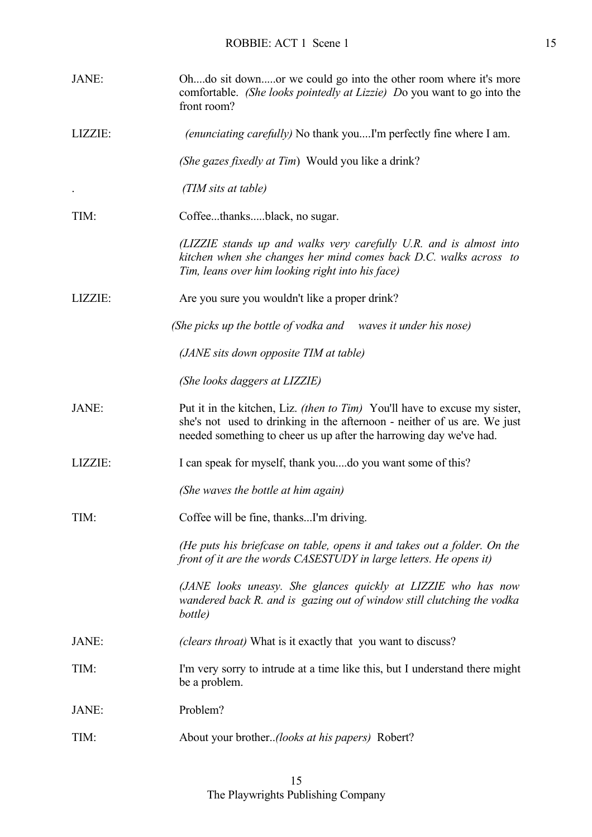| JANE:   | Ohdo sit downor we could go into the other room where it's more<br>comfortable. (She looks pointedly at Lizzie) Do you want to go into the<br>front room?                                                                    |
|---------|------------------------------------------------------------------------------------------------------------------------------------------------------------------------------------------------------------------------------|
| LIZZIE: | <i>(enunciating carefully)</i> No thank youI'm perfectly fine where I am.                                                                                                                                                    |
|         | (She gazes fixedly at Tim) Would you like a drink?                                                                                                                                                                           |
|         | (TIM sits at table)                                                                                                                                                                                                          |
| TIM:    | Coffeethanksblack, no sugar.                                                                                                                                                                                                 |
|         | (LIZZIE stands up and walks very carefully U.R. and is almost into<br>kitchen when she changes her mind comes back D.C. walks across to<br>Tim, leans over him looking right into his face)                                  |
| LIZZIE: | Are you sure you wouldn't like a proper drink?                                                                                                                                                                               |
|         | (She picks up the bottle of vodka and waves it under his nose)                                                                                                                                                               |
|         | (JANE sits down opposite TIM at table)                                                                                                                                                                                       |
|         | (She looks daggers at LIZZIE)                                                                                                                                                                                                |
| JANE:   | Put it in the kitchen, Liz. (then to Tim) You'll have to excuse my sister,<br>she's not used to drinking in the afternoon - neither of us are. We just<br>needed something to cheer us up after the harrowing day we've had. |
| LIZZIE: | I can speak for myself, thank youdo you want some of this?                                                                                                                                                                   |
|         | (She waves the bottle at him again)                                                                                                                                                                                          |
| TIM:    | Coffee will be fine, thanksI'm driving.                                                                                                                                                                                      |
|         | (He puts his briefcase on table, opens it and takes out a folder. On the<br>front of it are the words CASESTUDY in large letters. He opens it)                                                                               |
|         | (JANE looks uneasy. She glances quickly at LIZZIE who has now<br>wandered back R. and is gazing out of window still clutching the vodka<br>bottle)                                                                           |
| JANE:   | ( <i>clears throat</i> ) What is it exactly that you want to discuss?                                                                                                                                                        |
| TIM:    | I'm very sorry to intrude at a time like this, but I understand there might<br>be a problem.                                                                                                                                 |
| JANE:   | Problem?                                                                                                                                                                                                                     |
| TIM:    | About your brother(looks at his papers) Robert?                                                                                                                                                                              |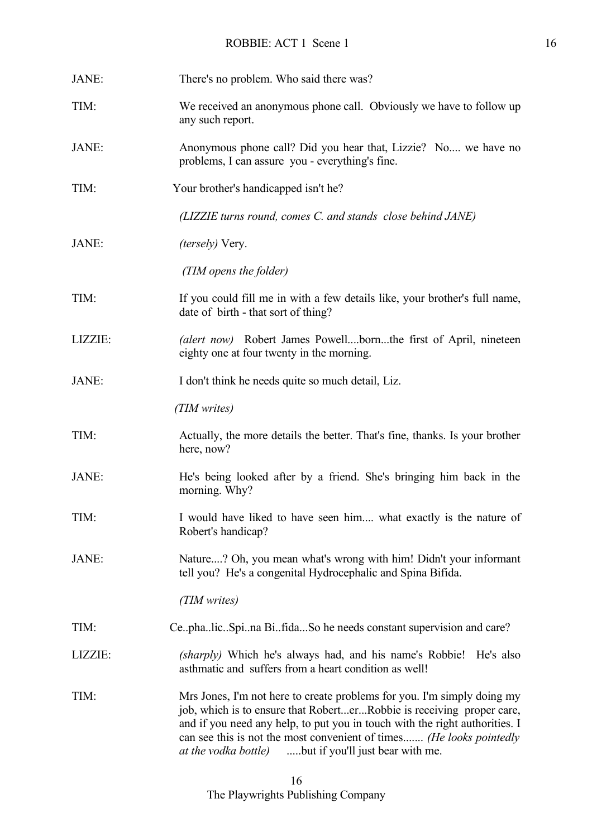| JANE:   | There's no problem. Who said there was?                                                                                                                                                                                                                                                                                                                                  |
|---------|--------------------------------------------------------------------------------------------------------------------------------------------------------------------------------------------------------------------------------------------------------------------------------------------------------------------------------------------------------------------------|
| TIM:    | We received an anonymous phone call. Obviously we have to follow up<br>any such report.                                                                                                                                                                                                                                                                                  |
| JANE:   | Anonymous phone call? Did you hear that, Lizzie? No, we have no<br>problems, I can assure you - everything's fine.                                                                                                                                                                                                                                                       |
| TIM:    | Your brother's handicapped isn't he?                                                                                                                                                                                                                                                                                                                                     |
|         | (LIZZIE turns round, comes C. and stands close behind JANE)                                                                                                                                                                                                                                                                                                              |
| JANE:   | <i>(tersely)</i> Very.                                                                                                                                                                                                                                                                                                                                                   |
|         | (TIM opens the folder)                                                                                                                                                                                                                                                                                                                                                   |
| TIM:    | If you could fill me in with a few details like, your brother's full name,<br>date of birth - that sort of thing?                                                                                                                                                                                                                                                        |
| LIZZIE: | (alert now) Robert James Powellbornthe first of April, nineteen<br>eighty one at four twenty in the morning.                                                                                                                                                                                                                                                             |
| JANE:   | I don't think he needs quite so much detail, Liz.                                                                                                                                                                                                                                                                                                                        |
|         | (TIM writes)                                                                                                                                                                                                                                                                                                                                                             |
| TIM:    | Actually, the more details the better. That's fine, thanks. Is your brother<br>here, now?                                                                                                                                                                                                                                                                                |
| JANE:   | He's being looked after by a friend. She's bringing him back in the<br>morning. Why?                                                                                                                                                                                                                                                                                     |
| TIM:    | I would have liked to have seen him what exactly is the nature of<br>Robert's handicap?                                                                                                                                                                                                                                                                                  |
| JANE:   | Nature? Oh, you mean what's wrong with him! Didn't your informant<br>tell you? He's a congenital Hydrocephalic and Spina Bifida.                                                                                                                                                                                                                                         |
|         | (TIM writes)                                                                                                                                                                                                                                                                                                                                                             |
| TIM:    | Ce.pha.lic.Spi.na Bi.fidaSo he needs constant supervision and care?                                                                                                                                                                                                                                                                                                      |
| LIZZIE: | (sharply) Which he's always had, and his name's Robbie!<br>He's also<br>asthmatic and suffers from a heart condition as well!                                                                                                                                                                                                                                            |
| TIM:    | Mrs Jones, I'm not here to create problems for you. I'm simply doing my<br>job, which is to ensure that RoberterRobbie is receiving proper care,<br>and if you need any help, to put you in touch with the right authorities. I<br>can see this is not the most convenient of times (He looks pointedly<br><i>at the vodka bottle</i> ) but if you'll just bear with me. |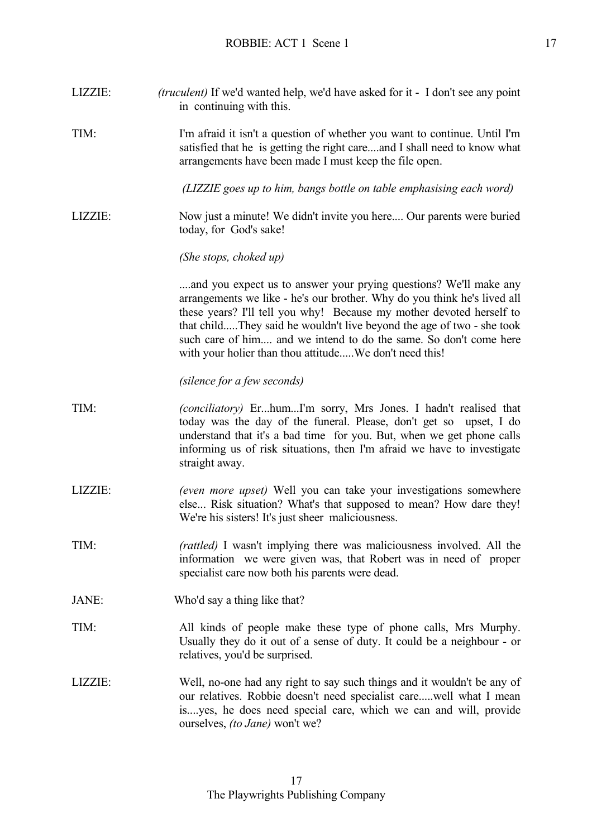LIZZIE: *(truculent)* If we'd wanted help, we'd have asked for it - I don't see any point in continuing with this. TIM: I'm afraid it isn't a question of whether you want to continue. Until I'm satisfied that he is getting the right care....and I shall need to know what arrangements have been made I must keep the file open. *(LIZZIE goes up to him, bangs bottle on table emphasising each word)*  LIZZIE: Now just a minute! We didn't invite you here.... Our parents were buried today, for God's sake! *(She stops, choked up)* ....and you expect us to answer your prying questions? We'll make any arrangements we like - he's our brother. Why do you think he's lived all these years? I'll tell you why! Because my mother devoted herself to that child.....They said he wouldn't live beyond the age of two - she took such care of him.... and we intend to do the same. So don't come here with your holier than thou attitude.....We don't need this! *(silence for a few seconds)* TIM: *(conciliatory)* Er...hum...I'm sorry, Mrs Jones. I hadn't realised that today was the day of the funeral. Please, don't get so upset, I do understand that it's a bad time for you. But, when we get phone calls informing us of risk situations, then I'm afraid we have to investigate straight away. LIZZIE: *(even more upset)* Well you can take your investigations somewhere else... Risk situation? What's that supposed to mean? How dare they! We're his sisters! It's just sheer maliciousness. TIM: *(rattled)* I wasn't implying there was maliciousness involved. All the information we were given was, that Robert was in need of proper specialist care now both his parents were dead. JANE: Who'd say a thing like that? TIM: All kinds of people make these type of phone calls, Mrs Murphy. Usually they do it out of a sense of duty. It could be a neighbour - or relatives, you'd be surprised. LIZZIE: Well, no-one had any right to say such things and it wouldn't be any of our relatives. Robbie doesn't need specialist care.....well what I mean is....yes, he does need special care, which we can and will, provide ourselves, *(to Jane)* won't we?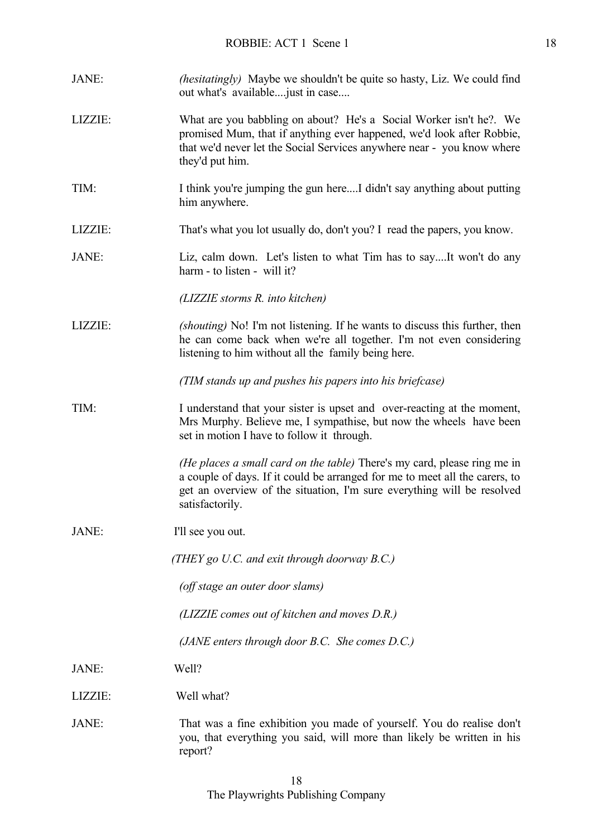| JANE:   | <i>(hesitatingly)</i> Maybe we shouldn't be quite so hasty, Liz. We could find<br>out what's available just in case                                                                                                                                  |
|---------|------------------------------------------------------------------------------------------------------------------------------------------------------------------------------------------------------------------------------------------------------|
| LIZZIE: | What are you babbling on about? He's a Social Worker isn't he?. We<br>promised Mum, that if anything ever happened, we'd look after Robbie,<br>that we'd never let the Social Services anywhere near - you know where<br>they'd put him.             |
| TIM:    | I think you're jumping the gun hereI didn't say anything about putting<br>him anywhere.                                                                                                                                                              |
| LIZZIE: | That's what you lot usually do, don't you? I read the papers, you know.                                                                                                                                                                              |
| JANE:   | Liz, calm down. Let's listen to what Tim has to sayIt won't do any<br>harm - to listen - will it?                                                                                                                                                    |
|         | (LIZZIE storms R. into kitchen)                                                                                                                                                                                                                      |
| LIZZIE: | (shouting) No! I'm not listening. If he wants to discuss this further, then<br>he can come back when we're all together. I'm not even considering<br>listening to him without all the family being here.                                             |
|         | (TIM stands up and pushes his papers into his briefcase)                                                                                                                                                                                             |
| TIM:    | I understand that your sister is upset and over-reacting at the moment,<br>Mrs Murphy. Believe me, I sympathise, but now the wheels have been<br>set in motion I have to follow it through.                                                          |
|         | (He places a small card on the table) There's my card, please ring me in<br>a couple of days. If it could be arranged for me to meet all the carers, to<br>get an overview of the situation, I'm sure everything will be resolved<br>satisfactorily. |
| JANE:   | I'll see you out.                                                                                                                                                                                                                                    |
|         | (THEY go U.C. and exit through doorway $B.C.$ )                                                                                                                                                                                                      |
|         | (off stage an outer door slams)                                                                                                                                                                                                                      |
|         | (LIZZIE comes out of kitchen and moves D.R.)                                                                                                                                                                                                         |
|         | (JANE enters through door $B.C.$ She comes $D.C.$ )                                                                                                                                                                                                  |
| JANE:   | Well?                                                                                                                                                                                                                                                |
| LIZZIE: | Well what?                                                                                                                                                                                                                                           |
| JANE:   | That was a fine exhibition you made of yourself. You do realise don't<br>you, that everything you said, will more than likely be written in his<br>report?                                                                                           |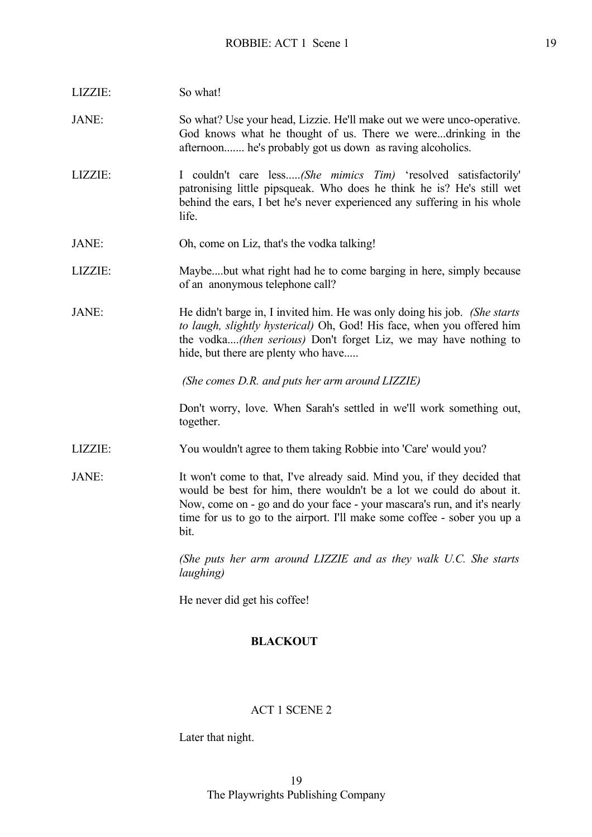| LIZZIE:         | So what!                                                                                                                                                                                                                                                                                                         |
|-----------------|------------------------------------------------------------------------------------------------------------------------------------------------------------------------------------------------------------------------------------------------------------------------------------------------------------------|
| JANE:           | So what? Use your head, Lizzie. He'll make out we were unco-operative.<br>God knows what he thought of us. There we weredrinking in the<br>afternoon he's probably got us down as raving alcoholics.                                                                                                             |
| LIZZIE:         | I couldn't care less(She mimics Tim) 'resolved satisfactorily'<br>patronising little pipsqueak. Who does he think he is? He's still wet<br>behind the ears, I bet he's never experienced any suffering in his whole<br>life.                                                                                     |
| JANE:           | Oh, come on Liz, that's the vodka talking!                                                                                                                                                                                                                                                                       |
| LIZZIE:         | Maybebut what right had he to come barging in here, simply because<br>of an anonymous telephone call?                                                                                                                                                                                                            |
| JANE:           | He didn't barge in, I invited him. He was only doing his job. (She starts<br>to laugh, slightly hysterical) Oh, God! His face, when you offered him<br>the vodka( <i>then serious</i> ) Don't forget Liz, we may have nothing to<br>hide, but there are plenty who have                                          |
|                 | (She comes D.R. and puts her arm around LIZZIE)                                                                                                                                                                                                                                                                  |
|                 | Don't worry, love. When Sarah's settled in we'll work something out,<br>together.                                                                                                                                                                                                                                |
| LIZZIE:         | You wouldn't agree to them taking Robbie into 'Care' would you?                                                                                                                                                                                                                                                  |
| JANE:           | It won't come to that, I've already said. Mind you, if they decided that<br>would be best for him, there wouldn't be a lot we could do about it.<br>Now, come on - go and do your face - your mascara's run, and it's nearly<br>time for us to go to the airport. I'll make some coffee - sober you up a<br>bit. |
|                 | (She puts her arm around LIZZIE and as they walk U.C. She starts<br>laughing)                                                                                                                                                                                                                                    |
|                 | He never did get his coffee!                                                                                                                                                                                                                                                                                     |
| <b>BLACKOUT</b> |                                                                                                                                                                                                                                                                                                                  |

## ACT 1 SCENE 2

Later that night.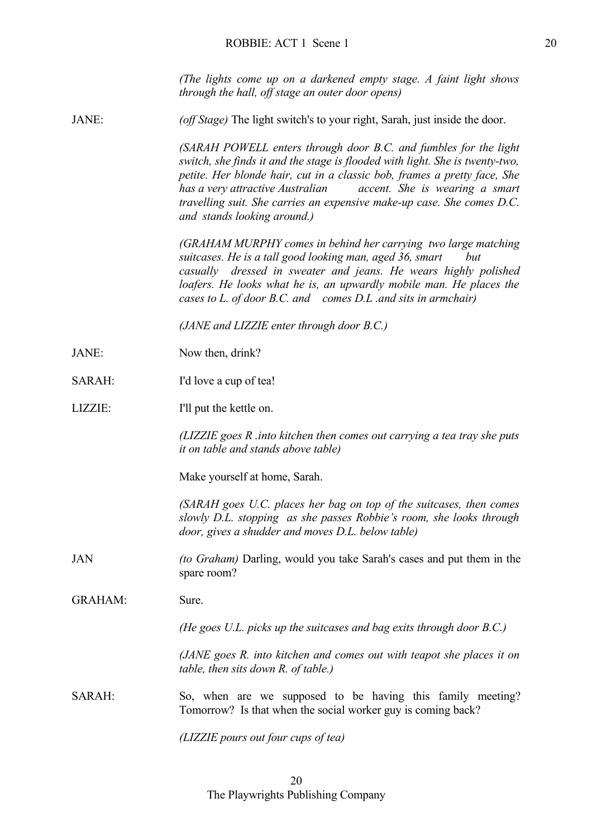*(The lights come up on a darkened empty stage. A faint light shows through the hall, off stage an outer door opens)*

JANE: *(off Stage)* The light switch's to your right, Sarah, just inside the door.

*(SARAH POWELL enters through door B.C. and fumbles for the light switch, she finds it and the stage is flooded with light. She is twenty-two, petite. Her blonde hair, cut in a classic bob, frames a pretty face, She has a very attractive Australian accent. She is wearing a smart travelling suit. She carries an expensive make-up case. She comes D.C. and stands looking around.)*

*(GRAHAM MURPHY comes in behind her carrying two large matching suitcases. He is a tall good looking man, aged 36, smart but casually dressed in sweater and jeans. He wears highly polished loafers. He looks what he is, an upwardly mobile man. He places the cases to L. of door B.C. and comes D.L .and sits in armchair)* 

*(JANE and LIZZIE enter through door B.C.)*

- JANE: Now then, drink?
- SARAH: I'd love a cup of tea!
- LIZZIE: I'll put the kettle on.

*(LIZZIE goes R .into kitchen then comes out carrying a tea tray she puts it on table and stands above table)*

Make yourself at home, Sarah.

*(SARAH goes U.C. places her bag on top of the suitcases, then comes slowly D.L. stopping as she passes Robbie's room, she looks through door, gives a shudder and moves D.L. below table)*

- JAN *(to Graham)* Darling, would you take Sarah's cases and put them in the spare room?
- GRAHAM: Sure.

*(He goes U.L. picks up the suitcases and bag exits through door B.C.)* 

*(JANE goes R. into kitchen and comes out with teapot she places it on table, then sits down R. of table.)*

SARAH: So, when are we supposed to be having this family meeting? Tomorrow? Is that when the social worker guy is coming back?

*(LIZZIE pours out four cups of tea)*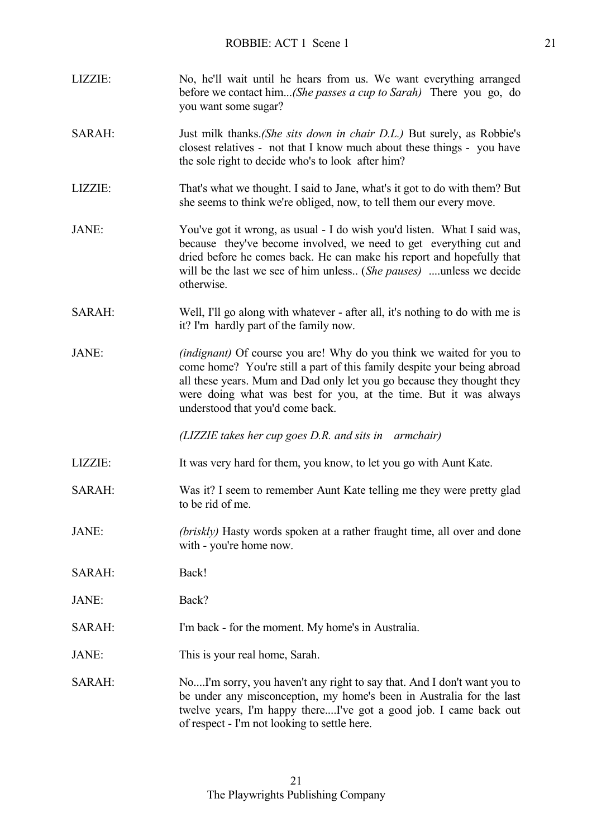| LIZZIE: | No, he'll wait until he hears from us. We want everything arranged<br>before we contact him(She passes a cup to Sarah) There you go, do<br>you want some sugar?                                                                                                                                                                          |
|---------|------------------------------------------------------------------------------------------------------------------------------------------------------------------------------------------------------------------------------------------------------------------------------------------------------------------------------------------|
| SARAH:  | Just milk thanks (She sits down in chair D.L.) But surely, as Robbie's<br>closest relatives - not that I know much about these things - you have<br>the sole right to decide who's to look after him?                                                                                                                                    |
| LIZZIE: | That's what we thought. I said to Jane, what's it got to do with them? But<br>she seems to think we're obliged, now, to tell them our every move.                                                                                                                                                                                        |
| JANE:   | You've got it wrong, as usual - I do wish you'd listen. What I said was,<br>because they've become involved, we need to get everything cut and<br>dried before he comes back. He can make his report and hopefully that<br>will be the last we see of him unless (She pauses) unless we decide<br>otherwise.                             |
| SARAH:  | Well, I'll go along with whatever - after all, it's nothing to do with me is<br>it? I'm hardly part of the family now.                                                                                                                                                                                                                   |
| JANE:   | <i>(indignant)</i> Of course you are! Why do you think we waited for you to<br>come home? You're still a part of this family despite your being abroad<br>all these years. Mum and Dad only let you go because they thought they<br>were doing what was best for you, at the time. But it was always<br>understood that you'd come back. |
|         | (LIZZIE takes her cup goes D.R. and sits in armchair)                                                                                                                                                                                                                                                                                    |
| LIZZIE: | It was very hard for them, you know, to let you go with Aunt Kate.                                                                                                                                                                                                                                                                       |
| SARAH:  | Was it? I seem to remember Aunt Kate telling me they were pretty glad<br>to be rid of me.                                                                                                                                                                                                                                                |
| JANE:   | (briskly) Hasty words spoken at a rather fraught time, all over and done<br>with - you're home now.                                                                                                                                                                                                                                      |
| SARAH:  | Back!                                                                                                                                                                                                                                                                                                                                    |
| JANE:   | Back?                                                                                                                                                                                                                                                                                                                                    |
| SARAH:  | I'm back - for the moment. My home's in Australia.                                                                                                                                                                                                                                                                                       |
| JANE:   | This is your real home, Sarah.                                                                                                                                                                                                                                                                                                           |
| SARAH:  | NoI'm sorry, you haven't any right to say that. And I don't want you to<br>be under any misconception, my home's been in Australia for the last<br>twelve years, I'm happy thereI've got a good job. I came back out<br>of respect - I'm not looking to settle here.                                                                     |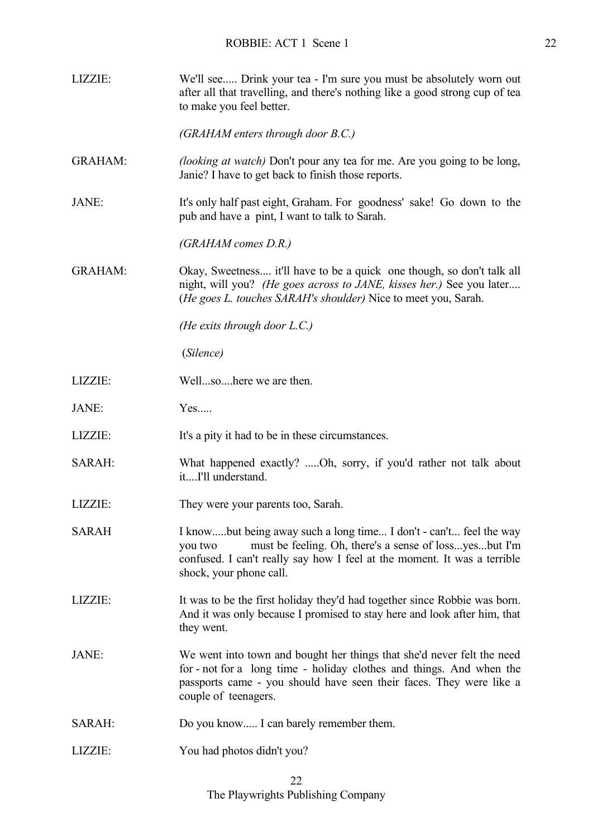LIZZIE: We'll see..... Drink your tea - I'm sure you must be absolutely worn out after all that travelling, and there's nothing like a good strong cup of tea to make you feel better. *(GRAHAM enters through door B.C.)* GRAHAM: *(looking at watch)* Don't pour any tea for me. Are you going to be long, Janie? I have to get back to finish those reports. JANE: It's only half past eight, Graham. For goodness' sake! Go down to the pub and have a pint, I want to talk to Sarah. *(GRAHAM comes D.R.)* GRAHAM: Okay, Sweetness.... it'll have to be a quick one though, so don't talk all night, will you? *(He goes across to JANE, kisses her.)* See you later.... (*He goes L. touches SARAH's shoulder)* Nice to meet you, Sarah. *(He exits through door L.C.)* (*Silence)* LIZZIE: Well...so....here we are then. JANE: Yes..... LIZZIE: It's a pity it had to be in these circumstances. SARAH: What happened exactly? .....Oh, sorry, if you'd rather not talk about it....I'll understand. LIZZIE: They were your parents too, Sarah. SARAH I know.....but being away such a long time... I don't - can't... feel the way you two must be feeling. Oh, there's a sense of loss...yes...but I'm confused. I can't really say how I feel at the moment. It was a terrible shock, your phone call. LIZZIE: It was to be the first holiday they'd had together since Robbie was born. And it was only because I promised to stay here and look after him, that they went. JANE: We went into town and bought her things that she'd never felt the need for - not for a long time - holiday clothes and things. And when the passports came - you should have seen their faces. They were like a couple of teenagers. SARAH: Do you know..... I can barely remember them. LIZZIE: You had photos didn't you?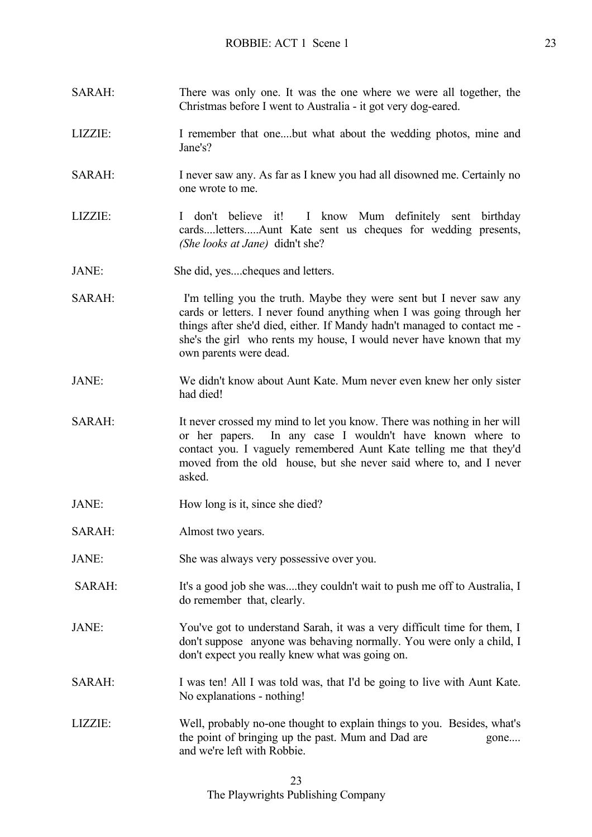- SARAH: There was only one. It was the one where we were all together, the Christmas before I went to Australia - it got very dog-eared.
- LIZZIE: I remember that one....but what about the wedding photos, mine and Jane's?
- SARAH: I never saw any. As far as I knew you had all disowned me. Certainly no one wrote to me.
- LIZZIE: I don't believe it! I know Mum definitely sent birthday cards....letters.....Aunt Kate sent us cheques for wedding presents, *(She looks at Jane)* didn't she?
- JANE: She did, yes....cheques and letters.
- SARAH: I'm telling you the truth. Maybe they were sent but I never saw any cards or letters. I never found anything when I was going through her things after she'd died, either. If Mandy hadn't managed to contact me she's the girl who rents my house, I would never have known that my own parents were dead.
- JANE: We didn't know about Aunt Kate. Mum never even knew her only sister had died!
- SARAH: It never crossed my mind to let you know. There was nothing in her will or her papers. In any case I wouldn't have known where to contact you. I vaguely remembered Aunt Kate telling me that they'd moved from the old house, but she never said where to, and I never asked.
- JANE: How long is it, since she died?
- SARAH: Almost two years.
- JANE: She was always very possessive over you.
- SARAH: It's a good job she was....they couldn't wait to push me off to Australia, I do remember that, clearly.
- JANE: You've got to understand Sarah, it was a very difficult time for them, I don't suppose anyone was behaving normally. You were only a child, I don't expect you really knew what was going on.
- SARAH: I was ten! All I was told was, that I'd be going to live with Aunt Kate. No explanations - nothing!
- LIZZIE: Well, probably no-one thought to explain things to you. Besides, what's the point of bringing up the past. Mum and Dad are gone.... and we're left with Robbie.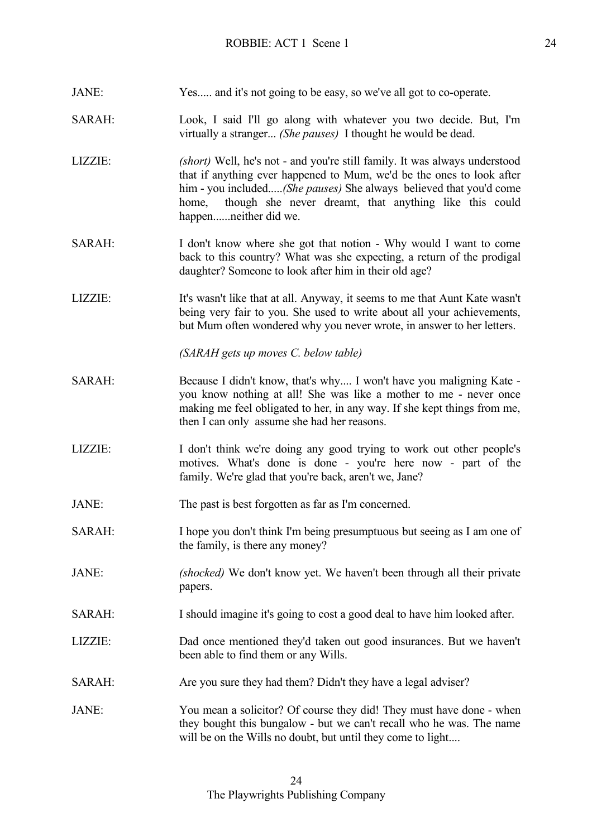| JANE:         | Yes and it's not going to be easy, so we've all got to co-operate.                                                                                                                                                                                                                                                    |
|---------------|-----------------------------------------------------------------------------------------------------------------------------------------------------------------------------------------------------------------------------------------------------------------------------------------------------------------------|
| SARAH:        | Look, I said I'll go along with whatever you two decide. But, I'm<br>virtually a stranger (She pauses) I thought he would be dead.                                                                                                                                                                                    |
| LIZZIE:       | (short) Well, he's not - and you're still family. It was always understood<br>that if anything ever happened to Mum, we'd be the ones to look after<br>him - you included(She pauses) She always believed that you'd come<br>though she never dreamt, that anything like this could<br>home,<br>happenneither did we. |
| SARAH:        | I don't know where she got that notion - Why would I want to come<br>back to this country? What was she expecting, a return of the prodigal<br>daughter? Someone to look after him in their old age?                                                                                                                  |
| LIZZIE:       | It's wasn't like that at all. Anyway, it seems to me that Aunt Kate wasn't<br>being very fair to you. She used to write about all your achievements,<br>but Mum often wondered why you never wrote, in answer to her letters.                                                                                         |
|               | (SARAH gets up moves C. below table)                                                                                                                                                                                                                                                                                  |
| <b>SARAH:</b> | Because I didn't know, that's why I won't have you maligning Kate -<br>you know nothing at all! She was like a mother to me - never once<br>making me feel obligated to her, in any way. If she kept things from me,<br>then I can only assume she had her reasons.                                                   |
| LIZZIE:       | I don't think we're doing any good trying to work out other people's<br>motives. What's done is done - you're here now - part of the<br>family. We're glad that you're back, aren't we, Jane?                                                                                                                         |
| JANE:         | The past is best forgotten as far as I'm concerned.                                                                                                                                                                                                                                                                   |
| SARAH:        | I hope you don't think I'm being presumptuous but seeing as I am one of<br>the family, is there any money?                                                                                                                                                                                                            |
| JANE:         | (shocked) We don't know yet. We haven't been through all their private<br>papers.                                                                                                                                                                                                                                     |
| <b>SARAH:</b> | I should imagine it's going to cost a good deal to have him looked after.                                                                                                                                                                                                                                             |
| LIZZIE:       | Dad once mentioned they'd taken out good insurances. But we haven't<br>been able to find them or any Wills.                                                                                                                                                                                                           |
| SARAH:        | Are you sure they had them? Didn't they have a legal adviser?                                                                                                                                                                                                                                                         |
| JANE:         | You mean a solicitor? Of course they did! They must have done - when<br>they bought this bungalow - but we can't recall who he was. The name<br>will be on the Wills no doubt, but until they come to light                                                                                                           |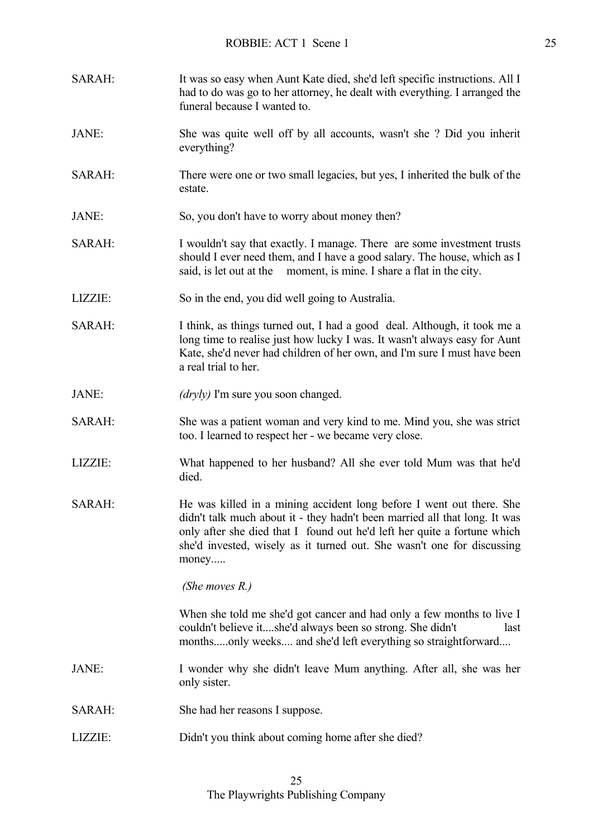| SARAH:  | It was so easy when Aunt Kate died, she'd left specific instructions. All I<br>had to do was go to her attorney, he dealt with everything. I arranged the<br>funeral because I wanted to.                                                                                                                         |
|---------|-------------------------------------------------------------------------------------------------------------------------------------------------------------------------------------------------------------------------------------------------------------------------------------------------------------------|
| JANE:   | She was quite well off by all accounts, wasn't she? Did you inherit<br>everything?                                                                                                                                                                                                                                |
| SARAH:  | There were one or two small legacies, but yes, I inherited the bulk of the<br>estate.                                                                                                                                                                                                                             |
| JANE:   | So, you don't have to worry about money then?                                                                                                                                                                                                                                                                     |
| SARAH:  | I wouldn't say that exactly. I manage. There are some investment trusts<br>should I ever need them, and I have a good salary. The house, which as I<br>said, is let out at the moment, is mine. I share a flat in the city.                                                                                       |
| LIZZIE: | So in the end, you did well going to Australia.                                                                                                                                                                                                                                                                   |
| SARAH:  | I think, as things turned out, I had a good deal. Although, it took me a<br>long time to realise just how lucky I was. It wasn't always easy for Aunt<br>Kate, she'd never had children of her own, and I'm sure I must have been<br>a real trial to her.                                                         |
| JANE:   | (dryly) I'm sure you soon changed.                                                                                                                                                                                                                                                                                |
| SARAH:  | She was a patient woman and very kind to me. Mind you, she was strict<br>too. I learned to respect her - we became very close.                                                                                                                                                                                    |
| LIZZIE: | What happened to her husband? All she ever told Mum was that he'd<br>died.                                                                                                                                                                                                                                        |
| SARAH:  | He was killed in a mining accident long before I went out there. She<br>didn't talk much about it - they hadn't been married all that long. It was<br>only after she died that I found out he'd left her quite a fortune which<br>she'd invested, wisely as it turned out. She wasn't one for discussing<br>money |
|         | (She moves $R$ .)                                                                                                                                                                                                                                                                                                 |
|         | When she told me she'd got cancer and had only a few months to live I<br>couldn't believe itshe'd always been so strong. She didn't<br>last<br>monthsonly weeks and she'd left everything so straightforward                                                                                                      |
| JANE:   | I wonder why she didn't leave Mum anything. After all, she was her<br>only sister.                                                                                                                                                                                                                                |
| SARAH:  | She had her reasons I suppose.                                                                                                                                                                                                                                                                                    |
| LIZZIE: | Didn't you think about coming home after she died?                                                                                                                                                                                                                                                                |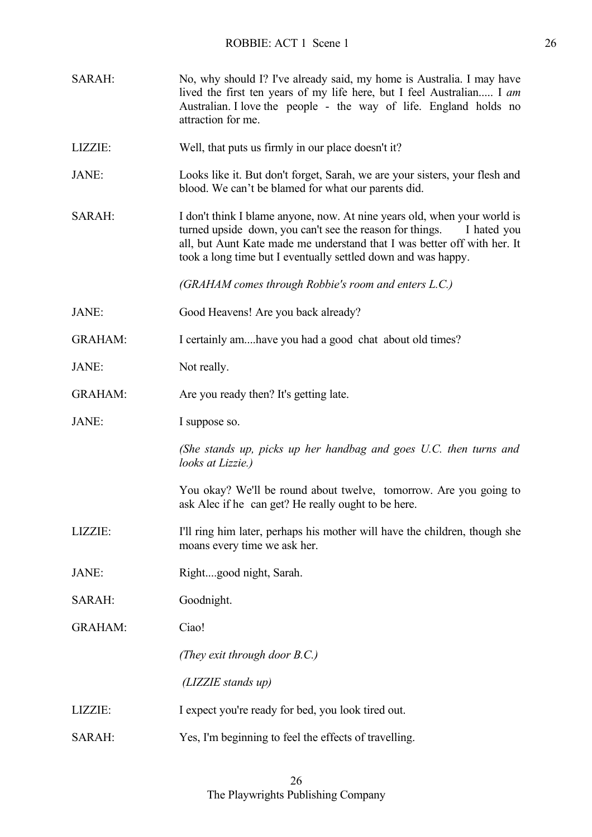| SARAH:         | No, why should I? I've already said, my home is Australia. I may have<br>lived the first ten years of my life here, but I feel Australian I am<br>Australian. I love the people - the way of life. England holds no<br>attraction for me.                                                        |
|----------------|--------------------------------------------------------------------------------------------------------------------------------------------------------------------------------------------------------------------------------------------------------------------------------------------------|
| LIZZIE:        | Well, that puts us firmly in our place doesn't it?                                                                                                                                                                                                                                               |
| JANE:          | Looks like it. But don't forget, Sarah, we are your sisters, your flesh and<br>blood. We can't be blamed for what our parents did.                                                                                                                                                               |
| SARAH:         | I don't think I blame anyone, now. At nine years old, when your world is<br>turned upside down, you can't see the reason for things.<br>I hated you<br>all, but Aunt Kate made me understand that I was better off with her. It<br>took a long time but I eventually settled down and was happy. |
|                | (GRAHAM comes through Robbie's room and enters L.C.)                                                                                                                                                                                                                                             |
| JANE:          | Good Heavens! Are you back already?                                                                                                                                                                                                                                                              |
| <b>GRAHAM:</b> | I certainly amhave you had a good chat about old times?                                                                                                                                                                                                                                          |
| JANE:          | Not really.                                                                                                                                                                                                                                                                                      |
| <b>GRAHAM:</b> | Are you ready then? It's getting late.                                                                                                                                                                                                                                                           |
| JANE:          | I suppose so.                                                                                                                                                                                                                                                                                    |
|                | (She stands up, picks up her handbag and goes U.C. then turns and<br>looks at Lizzie.)                                                                                                                                                                                                           |
|                | You okay? We'll be round about twelve, tomorrow. Are you going to<br>ask Alec if he can get? He really ought to be here.                                                                                                                                                                         |
| LIZZIE:        |                                                                                                                                                                                                                                                                                                  |
|                | I'll ring him later, perhaps his mother will have the children, though she<br>moans every time we ask her.                                                                                                                                                                                       |
| JANE:          | Rightgood night, Sarah.                                                                                                                                                                                                                                                                          |
| SARAH:         | Goodnight.                                                                                                                                                                                                                                                                                       |
| <b>GRAHAM:</b> | Ciao!                                                                                                                                                                                                                                                                                            |
|                | (They exit through door B.C.)                                                                                                                                                                                                                                                                    |
|                | (LIZZIE stands up)                                                                                                                                                                                                                                                                               |
| LIZZIE:        | I expect you're ready for bed, you look tired out.                                                                                                                                                                                                                                               |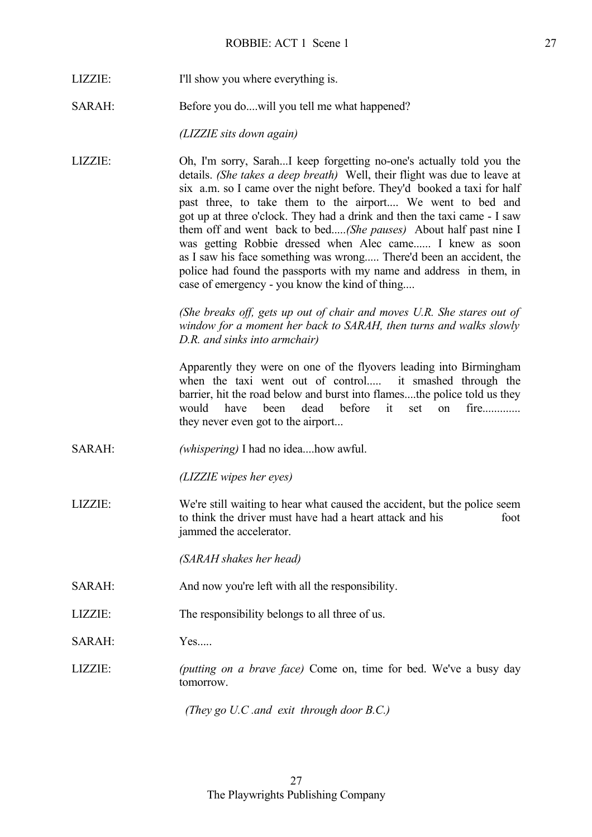- LIZZIE: I'll show you where everything is.
- SARAH: Before you do....will you tell me what happened?

*(LIZZIE sits down again)*

LIZZIE: Oh, I'm sorry, Sarah...I keep forgetting no-one's actually told you the details. *(She takes a deep breath)* Well, their flight was due to leave at six a.m. so I came over the night before. They'd booked a taxi for half past three, to take them to the airport.... We went to bed and got up at three o'clock. They had a drink and then the taxi came - I saw them off and went back to bed.....*(She pauses)* About half past nine I was getting Robbie dressed when Alec came...... I knew as soon as I saw his face something was wrong..... There'd been an accident, the police had found the passports with my name and address in them, in case of emergency - you know the kind of thing....

> *(She breaks off, gets up out of chair and moves U.R. She stares out of window for a moment her back to SARAH, then turns and walks slowly D.R. and sinks into armchair)*

> Apparently they were on one of the flyovers leading into Birmingham when the taxi went out of control..... it smashed through the barrier, hit the road below and burst into flames....the police told us they would have been dead before it set on fire............. they never even got to the airport...

SARAH: *(whispering)* I had no idea....how awful.

*(LIZZIE wipes her eyes)*

LIZZIE: We're still waiting to hear what caused the accident, but the police seem to think the driver must have had a heart attack and his foot jammed the accelerator.

*(SARAH shakes her head)*

- SARAH: And now you're left with all the responsibility.
- LIZZIE: The responsibility belongs to all three of us.
- SARAH: Yes.....
- LIZZIE: *(putting on a brave face)* Come on, time for bed. We've a busy day tomorrow.

*(They go U.C .and exit through door B.C.)*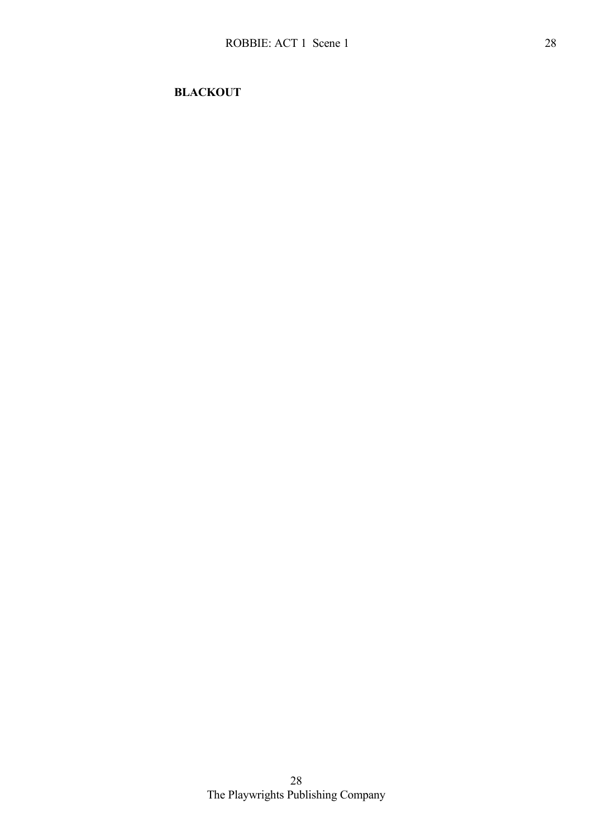**BLACKOUT**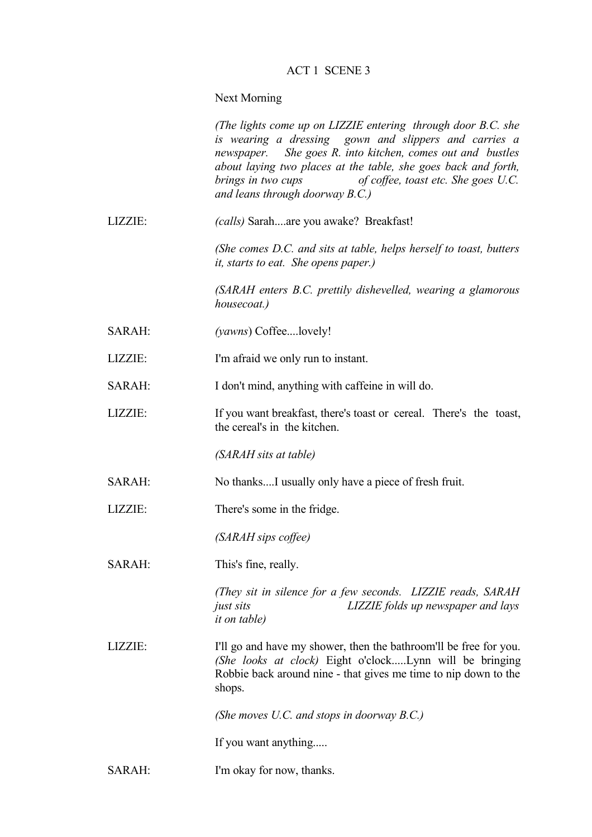## ACT 1 SCENE 3

## Next Morning

|         | (The lights come up on LIZZIE entering through door B.C. she<br>is wearing a dressing gown and slippers and carries a<br>newspaper. She goes R. into kitchen, comes out and bustles<br>about laying two places at the table, she goes back and forth,<br>brings in two cups<br>of coffee, toast etc. She goes U.C.<br>and leans through doorway $B.C.$ ) |
|---------|----------------------------------------------------------------------------------------------------------------------------------------------------------------------------------------------------------------------------------------------------------------------------------------------------------------------------------------------------------|
| LIZZIE: | (calls) Sarahare you awake? Breakfast!                                                                                                                                                                                                                                                                                                                   |
|         | (She comes D.C. and sits at table, helps herself to toast, butters<br><i>it, starts to eat. She opens paper.)</i>                                                                                                                                                                                                                                        |
|         | (SARAH enters B.C. prettily dishevelled, wearing a glamorous<br>housecoat.)                                                                                                                                                                                                                                                                              |
| SARAH:  | (yawns) Coffeelovely!                                                                                                                                                                                                                                                                                                                                    |
| LIZZIE: | I'm afraid we only run to instant.                                                                                                                                                                                                                                                                                                                       |
| SARAH:  | I don't mind, anything with caffeine in will do.                                                                                                                                                                                                                                                                                                         |
| LIZZIE: | If you want breakfast, there's toast or cereal. There's the toast,<br>the cereal's in the kitchen.                                                                                                                                                                                                                                                       |
|         | (SARAH sits at table)                                                                                                                                                                                                                                                                                                                                    |
| SARAH:  | No thanksI usually only have a piece of fresh fruit.                                                                                                                                                                                                                                                                                                     |
| LIZZIE: | There's some in the fridge.                                                                                                                                                                                                                                                                                                                              |
|         | (SARAH sips coffee)                                                                                                                                                                                                                                                                                                                                      |
| SARAH:  | This's fine, really.                                                                                                                                                                                                                                                                                                                                     |
|         | (They sit in silence for a few seconds. LIZZIE reads, SARAH<br>LIZZIE folds up newspaper and lays<br>just sits<br><i>it on table</i> )                                                                                                                                                                                                                   |
| LIZZIE: | I'll go and have my shower, then the bathroom'll be free for you.<br>(She looks at clock) Eight o'clockLynn will be bringing<br>Robbie back around nine - that gives me time to nip down to the<br>shops.                                                                                                                                                |
|         | (She moves U.C. and stops in doorway $B.C.$ )                                                                                                                                                                                                                                                                                                            |
|         | If you want anything                                                                                                                                                                                                                                                                                                                                     |
| SARAH:  | I'm okay for now, thanks.                                                                                                                                                                                                                                                                                                                                |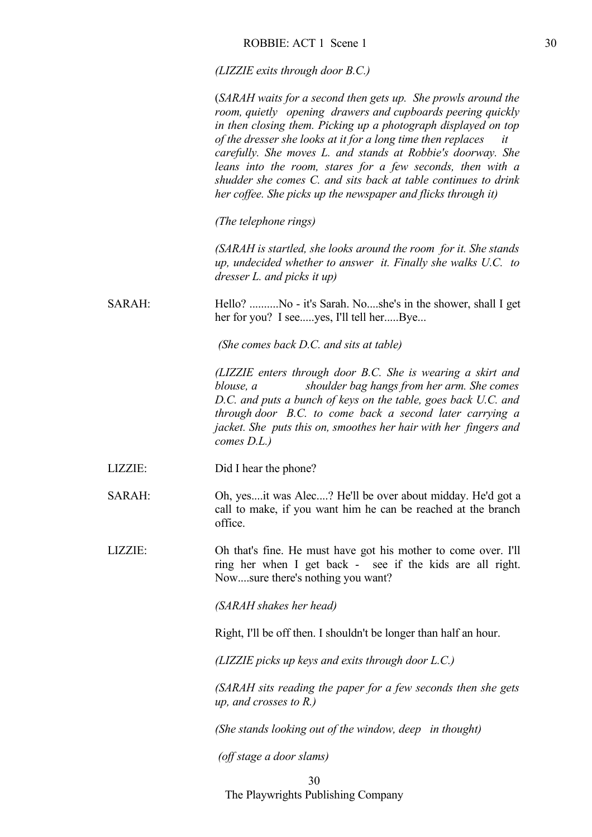*(LIZZIE exits through door B.C.)*

|               | (SARAH waits for a second then gets up. She prowls around the<br>room, quietly opening drawers and cupboards peering quickly<br>in then closing them. Picking up a photograph displayed on top<br>of the dresser she looks at it for a long time then replaces<br>it<br>carefully. She moves L. and stands at Robbie's doorway. She<br>leans into the room, stares for a few seconds, then with a<br>shudder she comes C. and sits back at table continues to drink<br>her coffee. She picks up the newspaper and flicks through it) |
|---------------|--------------------------------------------------------------------------------------------------------------------------------------------------------------------------------------------------------------------------------------------------------------------------------------------------------------------------------------------------------------------------------------------------------------------------------------------------------------------------------------------------------------------------------------|
|               | (The telephone rings)                                                                                                                                                                                                                                                                                                                                                                                                                                                                                                                |
|               | (SARAH is startled, she looks around the room for it. She stands<br>up, undecided whether to answer it. Finally she walks U.C. to<br>dresser $L$ and picks it up)                                                                                                                                                                                                                                                                                                                                                                    |
| <b>SARAH:</b> | Hello? No - it's Sarah. Noshe's in the shower, shall I get<br>her for you? I seeyes, I'll tell herBye                                                                                                                                                                                                                                                                                                                                                                                                                                |
|               | (She comes back D.C. and sits at table)                                                                                                                                                                                                                                                                                                                                                                                                                                                                                              |
|               | (LIZZIE enters through door B.C. She is wearing a skirt and<br>shoulder bag hangs from her arm. She comes<br>blouse, a<br>D.C. and puts a bunch of keys on the table, goes back U.C. and<br>through door B.C. to come back a second later carrying a<br>jacket. She puts this on, smoothes her hair with her fingers and<br>comes $D.L.$ )                                                                                                                                                                                           |
| LIZZIE:       | Did I hear the phone?                                                                                                                                                                                                                                                                                                                                                                                                                                                                                                                |
| SARAH:        | Oh, yesit was Alec? He'll be over about midday. He'd got a<br>call to make, if you want him he can be reached at the branch<br>office.                                                                                                                                                                                                                                                                                                                                                                                               |
| LIZZIE:       | Oh that's fine. He must have got his mother to come over. I'll<br>ring her when I get back - see if the kids are all right.<br>Nowsure there's nothing you want?                                                                                                                                                                                                                                                                                                                                                                     |
|               | (SARAH shakes her head)                                                                                                                                                                                                                                                                                                                                                                                                                                                                                                              |
|               | Right, I'll be off then. I shouldn't be longer than half an hour.                                                                                                                                                                                                                                                                                                                                                                                                                                                                    |
|               | (LIZZIE picks up keys and exits through door L.C.)                                                                                                                                                                                                                                                                                                                                                                                                                                                                                   |
|               | (SARAH sits reading the paper for a few seconds then she gets<br><i>up, and crosses to R.)</i>                                                                                                                                                                                                                                                                                                                                                                                                                                       |
|               | (She stands looking out of the window, deep in thought)                                                                                                                                                                                                                                                                                                                                                                                                                                                                              |
|               | (off stage a door slams)                                                                                                                                                                                                                                                                                                                                                                                                                                                                                                             |
|               | 30                                                                                                                                                                                                                                                                                                                                                                                                                                                                                                                                   |

The Playwrights Publishing Company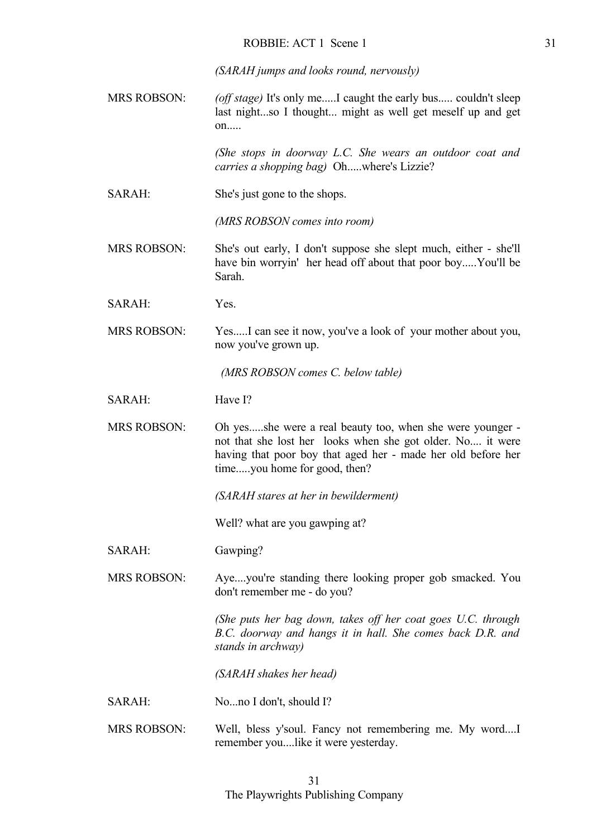*(SARAH jumps and looks round, nervously)*

MRS ROBSON: *(off stage)* It's only me.....I caught the early bus..... couldn't sleep last night...so I thought... might as well get meself up and get  $on...$ 

> *(She stops in doorway L.C. She wears an outdoor coat and carries a shopping bag)* Oh.....where's Lizzie?

SARAH: She's just gone to the shops.

*(MRS ROBSON comes into room)*

- MRS ROBSON: She's out early, I don't suppose she slept much, either she'll have bin worryin' her head off about that poor boy.....You'll be Sarah.
- SARAH: Yes.
- MRS ROBSON: Yes.....I can see it now, you've a look of your mother about you, now you've grown up.

*(MRS ROBSON comes C. below table)*

- SARAH: Have I?
- MRS ROBSON: Oh yes.....she were a real beauty too, when she were younger not that she lost her looks when she got older. No.... it were having that poor boy that aged her - made her old before her time.....you home for good, then?

*(SARAH stares at her in bewilderment)*

Well? what are you gawping at?

SARAH: Gawping?

MRS ROBSON: Aye....you're standing there looking proper gob smacked. You don't remember me - do you?

> *(She puts her bag down, takes off her coat goes U.C. through B.C. doorway and hangs it in hall. She comes back D.R. and stands in archway)*

 *(SARAH shakes her head)*

- SARAH: No...no I don't, should I?
- MRS ROBSON: Well, bless y'soul. Fancy not remembering me. My word....I remember you....like it were yesterday.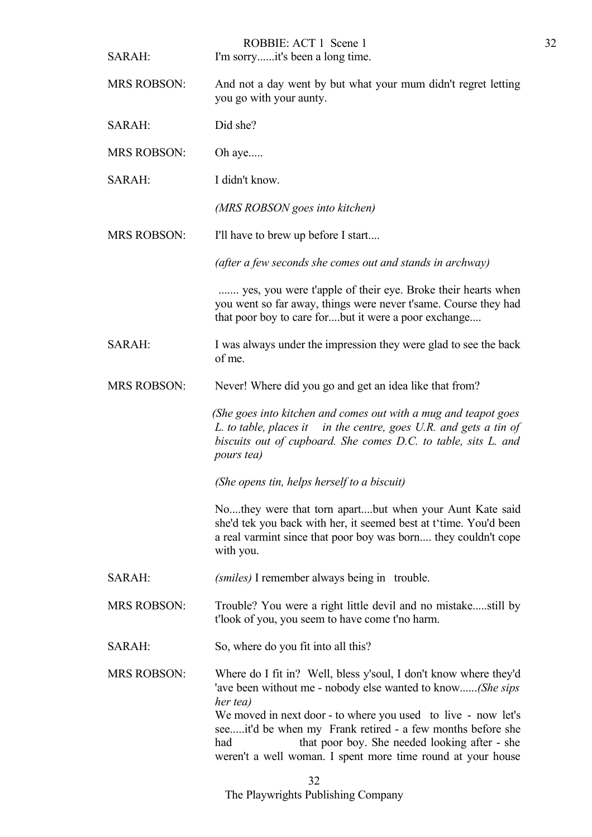| SARAH:             | ROBBIE: ACT 1 Scene 1<br>I'm sorryit's been a long time.                                                                                                                                                                                                                                                                                                                                         |
|--------------------|--------------------------------------------------------------------------------------------------------------------------------------------------------------------------------------------------------------------------------------------------------------------------------------------------------------------------------------------------------------------------------------------------|
| <b>MRS ROBSON:</b> | And not a day went by but what your mum didn't regret letting<br>you go with your aunty.                                                                                                                                                                                                                                                                                                         |
| SARAH:             | Did she?                                                                                                                                                                                                                                                                                                                                                                                         |
| <b>MRS ROBSON:</b> | Oh aye                                                                                                                                                                                                                                                                                                                                                                                           |
| SARAH:             | I didn't know.                                                                                                                                                                                                                                                                                                                                                                                   |
|                    | (MRS ROBSON goes into kitchen)                                                                                                                                                                                                                                                                                                                                                                   |
| <b>MRS ROBSON:</b> | I'll have to brew up before I start                                                                                                                                                                                                                                                                                                                                                              |
|                    | (after a few seconds she comes out and stands in archway)                                                                                                                                                                                                                                                                                                                                        |
|                    | yes, you were t'apple of their eye. Broke their hearts when<br>you went so far away, things were never t'same. Course they had<br>that poor boy to care forbut it were a poor exchange                                                                                                                                                                                                           |
| SARAH:             | I was always under the impression they were glad to see the back<br>of me.                                                                                                                                                                                                                                                                                                                       |
| <b>MRS ROBSON:</b> | Never! Where did you go and get an idea like that from?                                                                                                                                                                                                                                                                                                                                          |
|                    | (She goes into kitchen and comes out with a mug and teapot goes<br>L. to table, places it in the centre, goes U.R. and gets a tin of<br>biscuits out of cupboard. She comes D.C. to table, sits L. and<br><i>pours tea</i> )                                                                                                                                                                     |
|                    | (She opens tin, helps herself to a biscuit)                                                                                                                                                                                                                                                                                                                                                      |
|                    | Nothey were that torn apartbut when your Aunt Kate said<br>she'd tek you back with her, it seemed best at t'time. You'd been<br>a real varmint since that poor boy was born they couldn't cope<br>with you.                                                                                                                                                                                      |
| SARAH:             | (smiles) I remember always being in trouble.                                                                                                                                                                                                                                                                                                                                                     |
| <b>MRS ROBSON:</b> | Trouble? You were a right little devil and no mistakestill by<br>t'look of you, you seem to have come t'no harm.                                                                                                                                                                                                                                                                                 |
| SARAH:             | So, where do you fit into all this?                                                                                                                                                                                                                                                                                                                                                              |
| <b>MRS ROBSON:</b> | Where do I fit in? Well, bless y'soul, I don't know where they'd<br>'ave been without me - nobody else wanted to know(She sips<br>her tea)<br>We moved in next door - to where you used to live - now let's<br>seeit'd be when my Frank retired - a few months before she<br>that poor boy. She needed looking after - she<br>had<br>weren't a well woman. I spent more time round at your house |

32

The Playwrights Publishing Company 32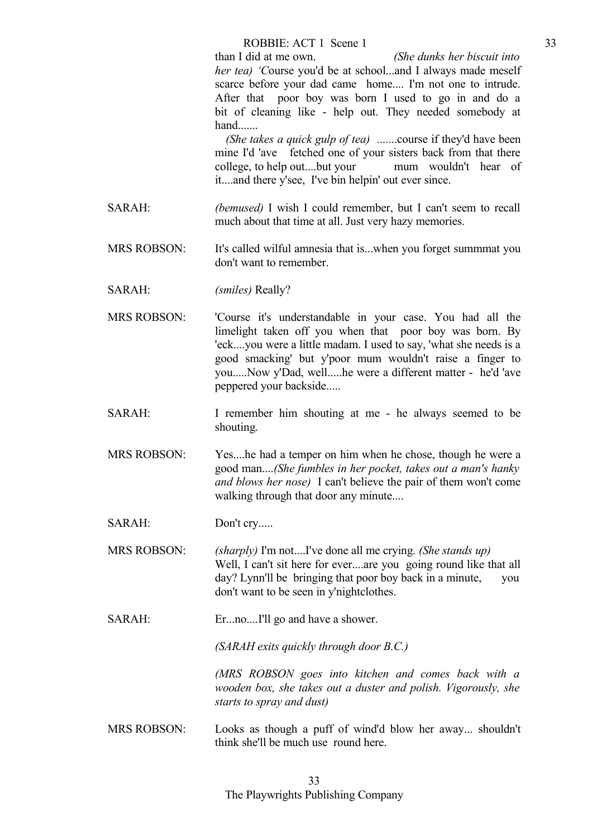than I did at me own. *(She dunks her biscuit into her tea) 'C*ourse you'd be at school...and I always made meself scarce before your dad came home.... I'm not one to intrude. After that poor boy was born I used to go in and do a bit of cleaning like - help out. They needed somebody at hand.......

 *(She takes a quick gulp of tea)* .......course if they'd have been mine I'd 'ave fetched one of your sisters back from that there college, to help out....but your mum wouldn't hear of it....and there y'see, I've bin helpin' out ever since.

- SARAH: *(bemused)* I wish I could remember, but I can't seem to recall much about that time at all. Just very hazy memories.
- MRS ROBSON: It's called wilful amnesia that is...when you forget summmat you don't want to remember.
- SARAH: *(smiles)* Really?
- MRS ROBSON: 'Course it's understandable in your case. You had all the limelight taken off you when that poor boy was born. By 'eck....you were a little madam. I used to say, 'what she needs is a good smacking' but y'poor mum wouldn't raise a finger to you.....Now y'Dad, well.....he were a different matter - he'd 'ave peppered your backside.....
- SARAH: I remember him shouting at me he always seemed to be shouting.
- MRS ROBSON: Yes....he had a temper on him when he chose, though he were a good man....*(She fumbles in her pocket, takes out a man's hanky and blows her nose)* I can't believe the pair of them won't come walking through that door any minute....
- SARAH: Don't cry.....
- MRS ROBSON: *(sharply)* I'm not....I've done all me crying. *(She stands up)* Well, I can't sit here for ever....are you going round like that all day? Lynn'll be bringing that poor boy back in a minute, you don't want to be seen in y'nightclothes.
- SARAH: Er...no....I'll go and have a shower.

*(SARAH exits quickly through door B.C.)*

 *(MRS ROBSON goes into kitchen and comes back with a wooden box, she takes out a duster and polish. Vigorously, she starts to spray and dust)*

MRS ROBSON: Looks as though a puff of wind'd blow her away... shouldn't think she'll be much use round here.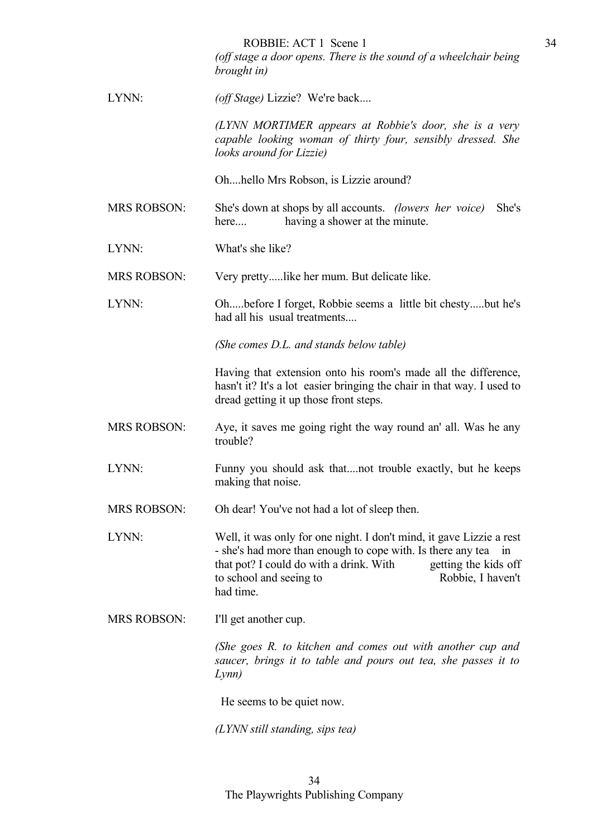|                    | ROBBIE: ACT 1 Scene 1<br>(off stage a door opens. There is the sound of a wheelchair being<br>brought in)                                                                                                                                                                 |
|--------------------|---------------------------------------------------------------------------------------------------------------------------------------------------------------------------------------------------------------------------------------------------------------------------|
| LYNN:              | (off Stage) Lizzie? We're back                                                                                                                                                                                                                                            |
|                    | (LYNN MORTIMER appears at Robbie's door, she is a very<br>capable looking woman of thirty four, sensibly dressed. She<br>looks around for Lizzie)                                                                                                                         |
|                    | Ohhello Mrs Robson, is Lizzie around?                                                                                                                                                                                                                                     |
| <b>MRS ROBSON:</b> | She's down at shops by all accounts. <i>(lowers her voice)</i><br>She's<br>having a shower at the minute.<br>here                                                                                                                                                         |
| LYNN:              | What's she like?                                                                                                                                                                                                                                                          |
| <b>MRS ROBSON:</b> | Very prettylike her mum. But delicate like.                                                                                                                                                                                                                               |
| LYNN:              | Ohbefore I forget, Robbie seems a little bit chestybut he's<br>had all his usual treatments                                                                                                                                                                               |
|                    | (She comes D.L. and stands below table)                                                                                                                                                                                                                                   |
|                    | Having that extension onto his room's made all the difference,<br>hasn't it? It's a lot easier bringing the chair in that way. I used to<br>dread getting it up those front steps.                                                                                        |
| <b>MRS ROBSON:</b> | Aye, it saves me going right the way round an' all. Was he any<br>trouble?                                                                                                                                                                                                |
| LYNN:              | Funny you should ask thatnot trouble exactly, but he keeps<br>making that noise.                                                                                                                                                                                          |
| <b>MRS ROBSON:</b> | Oh dear! You've not had a lot of sleep then.                                                                                                                                                                                                                              |
| LYNN:              | Well, it was only for one night. I don't mind, it gave Lizzie a rest<br>- she's had more than enough to cope with. Is there any tea<br>1n<br>that pot? I could do with a drink. With<br>getting the kids off<br>to school and seeing to<br>Robbie, I haven't<br>had time. |
| <b>MRS ROBSON:</b> | I'll get another cup.                                                                                                                                                                                                                                                     |
|                    | (She goes R. to kitchen and comes out with another cup and<br>saucer, brings it to table and pours out tea, she passes it to<br>Lynn)                                                                                                                                     |
|                    |                                                                                                                                                                                                                                                                           |

34

He seems to be quiet now.

*(LYNN still standing, sips tea)*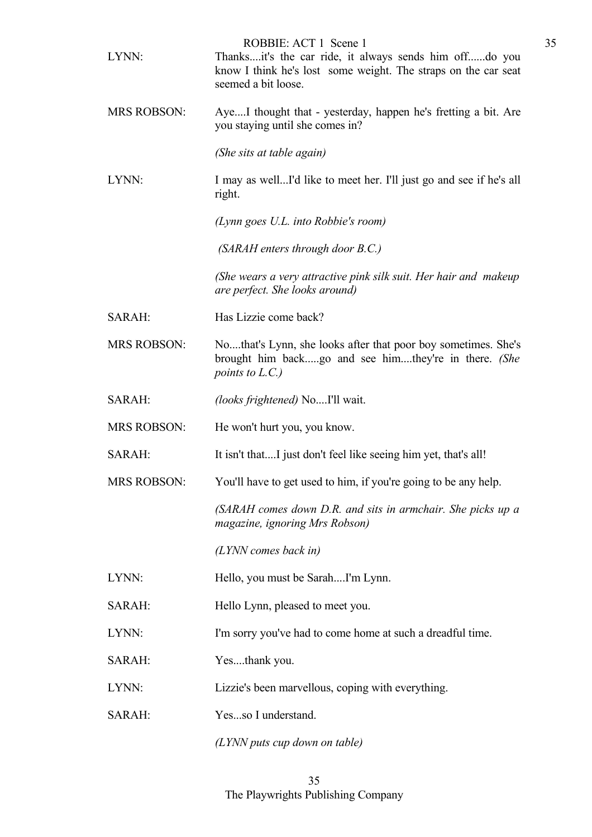| LYNN:              | ROBBIE: ACT 1 Scene 1<br>Thanksit's the car ride, it always sends him offdo you<br>know I think he's lost some weight. The straps on the car seat<br>seemed a bit loose. |
|--------------------|--------------------------------------------------------------------------------------------------------------------------------------------------------------------------|
| <b>MRS ROBSON:</b> | AyeI thought that - yesterday, happen he's fretting a bit. Are<br>you staying until she comes in?                                                                        |
|                    | (She sits at table again)                                                                                                                                                |
| LYNN:              | I may as wellI'd like to meet her. I'll just go and see if he's all<br>right.                                                                                            |
|                    | (Lynn goes U.L. into Robbie's room)                                                                                                                                      |
|                    | (SARAH enters through door B.C.)                                                                                                                                         |
|                    | (She wears a very attractive pink silk suit. Her hair and makeup<br>are perfect. She looks around)                                                                       |
| SARAH:             | Has Lizzie come back?                                                                                                                                                    |
| <b>MRS ROBSON:</b> | Nothat's Lynn, she looks after that poor boy sometimes. She's<br>brought him backgo and see himthey're in there. (She<br>points to $L.C.$ )                              |
| SARAH:             | <i>(looks frightened)</i> NoI'll wait.                                                                                                                                   |
| <b>MRS ROBSON:</b> | He won't hurt you, you know.                                                                                                                                             |
| SARAH:             | It isn't thatI just don't feel like seeing him yet, that's all!                                                                                                          |
| <b>MRS ROBSON:</b> | You'll have to get used to him, if you're going to be any help.                                                                                                          |
|                    | (SARAH comes down D.R. and sits in armchair. She picks up a<br>magazine, ignoring Mrs Robson)                                                                            |
|                    | $(LYNN)$ comes back in)                                                                                                                                                  |
| LYNN:              | Hello, you must be SarahI'm Lynn.                                                                                                                                        |
| SARAH:             | Hello Lynn, pleased to meet you.                                                                                                                                         |
| LYNN:              | I'm sorry you've had to come home at such a dreadful time.                                                                                                               |
| SARAH:             | Yesthank you.                                                                                                                                                            |
| LYNN:              | Lizzie's been marvellous, coping with everything.                                                                                                                        |
| SARAH:             | Yesso I understand.                                                                                                                                                      |
|                    | $(LYNN$ puts cup down on table)                                                                                                                                          |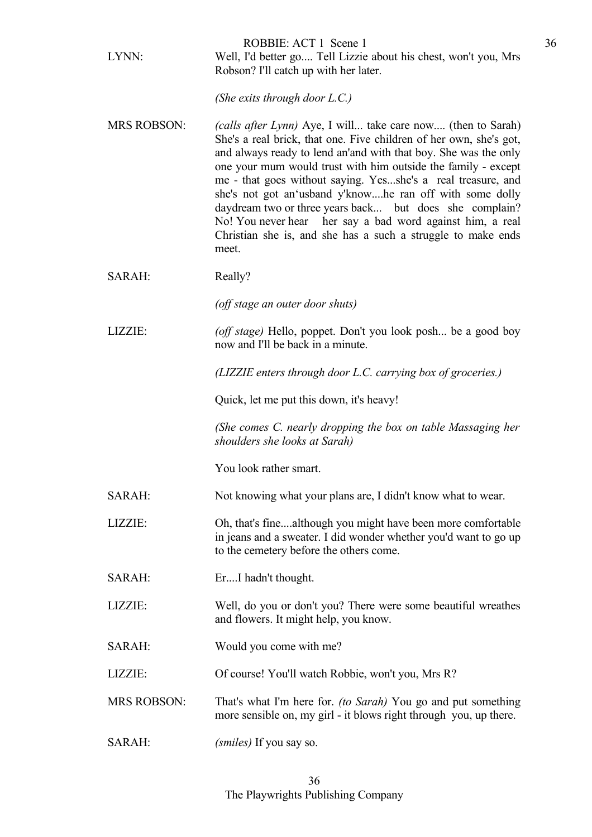| LYNN:              | ROBBIE: ACT 1 Scene 1<br>Well, I'd better go Tell Lizzie about his chest, won't you, Mrs<br>Robson? I'll catch up with her later.                                                                                                                                                                                                                                                                                                                                                                                                                                                                          |
|--------------------|------------------------------------------------------------------------------------------------------------------------------------------------------------------------------------------------------------------------------------------------------------------------------------------------------------------------------------------------------------------------------------------------------------------------------------------------------------------------------------------------------------------------------------------------------------------------------------------------------------|
|                    | (She exits through door $L.C.$ )                                                                                                                                                                                                                                                                                                                                                                                                                                                                                                                                                                           |
| <b>MRS ROBSON:</b> | <i>(calls after Lynn)</i> Aye, I will take care now (then to Sarah)<br>She's a real brick, that one. Five children of her own, she's got,<br>and always ready to lend an'and with that boy. She was the only<br>one your mum would trust with him outside the family - except<br>me - that goes without saying. Yesshe's a real treasure, and<br>she's not got an'usband y'knowhe ran off with some dolly<br>daydream two or three years back but does she complain?<br>No! You never hear her say a bad word against him, a real<br>Christian she is, and she has a such a struggle to make ends<br>meet. |
| SARAH:             | Really?                                                                                                                                                                                                                                                                                                                                                                                                                                                                                                                                                                                                    |
|                    | (off stage an outer door shuts)                                                                                                                                                                                                                                                                                                                                                                                                                                                                                                                                                                            |
| LIZZIE:            | (off stage) Hello, poppet. Don't you look posh be a good boy<br>now and I'll be back in a minute.                                                                                                                                                                                                                                                                                                                                                                                                                                                                                                          |
|                    | (LIZZIE enters through door L.C. carrying box of groceries.)                                                                                                                                                                                                                                                                                                                                                                                                                                                                                                                                               |
|                    | Quick, let me put this down, it's heavy!                                                                                                                                                                                                                                                                                                                                                                                                                                                                                                                                                                   |
|                    | (She comes C. nearly dropping the box on table Massaging her<br>shoulders she looks at Sarah)                                                                                                                                                                                                                                                                                                                                                                                                                                                                                                              |
|                    | You look rather smart.                                                                                                                                                                                                                                                                                                                                                                                                                                                                                                                                                                                     |
| SARAH:             | Not knowing what your plans are, I didn't know what to wear.                                                                                                                                                                                                                                                                                                                                                                                                                                                                                                                                               |
| LIZZIE:            | Oh, that's finealthough you might have been more comfortable<br>in jeans and a sweater. I did wonder whether you'd want to go up<br>to the cemetery before the others come.                                                                                                                                                                                                                                                                                                                                                                                                                                |
| SARAH:             | ErI hadn't thought.                                                                                                                                                                                                                                                                                                                                                                                                                                                                                                                                                                                        |
| LIZZIE:            | Well, do you or don't you? There were some beautiful wreathes<br>and flowers. It might help, you know.                                                                                                                                                                                                                                                                                                                                                                                                                                                                                                     |
| <b>SARAH:</b>      | Would you come with me?                                                                                                                                                                                                                                                                                                                                                                                                                                                                                                                                                                                    |
| LIZZIE:            | Of course! You'll watch Robbie, won't you, Mrs R?                                                                                                                                                                                                                                                                                                                                                                                                                                                                                                                                                          |
| <b>MRS ROBSON:</b> | That's what I'm here for. <i>(to Sarah)</i> You go and put something<br>more sensible on, my girl - it blows right through you, up there.                                                                                                                                                                                                                                                                                                                                                                                                                                                                  |
| SARAH:             | (smiles) If you say so.                                                                                                                                                                                                                                                                                                                                                                                                                                                                                                                                                                                    |

36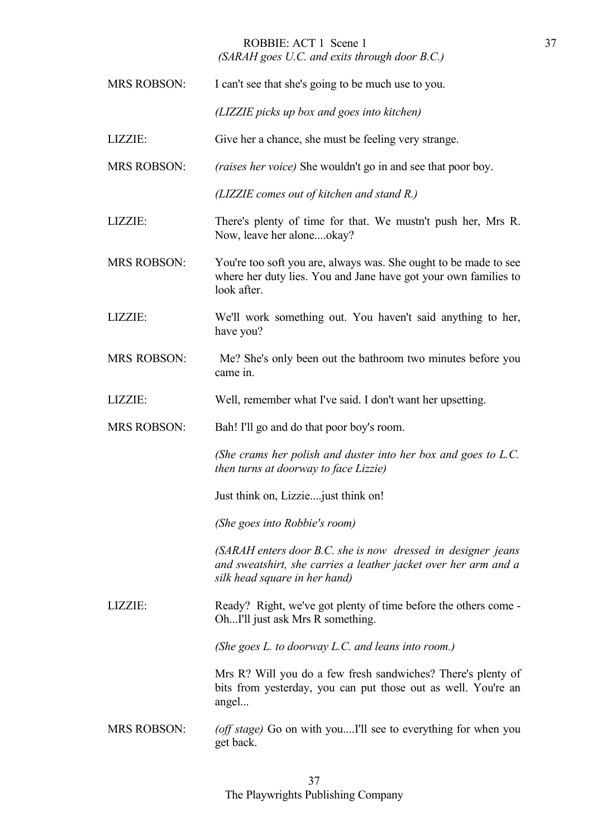## ROBBIE: ACT 1 Scene 1 *(SARAH goes U.C. and exits through door B.C.)*

| <b>MRS ROBSON:</b> | I can't see that she's going to be much use to you.                                                                                                              |
|--------------------|------------------------------------------------------------------------------------------------------------------------------------------------------------------|
|                    | (LIZZIE picks up box and goes into kitchen)                                                                                                                      |
| LIZZIE:            | Give her a chance, she must be feeling very strange.                                                                                                             |
| <b>MRS ROBSON:</b> | <i>(raises her voice)</i> She wouldn't go in and see that poor boy.                                                                                              |
|                    | (LIZZIE comes out of kitchen and stand R.)                                                                                                                       |
| LIZZIE:            | There's plenty of time for that. We mustn't push her, Mrs R.<br>Now, leave her aloneokay?                                                                        |
| <b>MRS ROBSON:</b> | You're too soft you are, always was. She ought to be made to see<br>where her duty lies. You and Jane have got your own families to<br>look after.               |
| LIZZIE:            | We'll work something out. You haven't said anything to her,<br>have you?                                                                                         |
| <b>MRS ROBSON:</b> | Me? She's only been out the bathroom two minutes before you<br>came in.                                                                                          |
| LIZZIE:            | Well, remember what I've said. I don't want her upsetting.                                                                                                       |
| <b>MRS ROBSON:</b> | Bah! I'll go and do that poor boy's room.                                                                                                                        |
|                    |                                                                                                                                                                  |
|                    | (She crams her polish and duster into her box and goes to L.C.<br>then turns at doorway to face Lizzie)                                                          |
|                    | Just think on, Lizzie just think on!                                                                                                                             |
|                    | (She goes into Robbie's room)                                                                                                                                    |
|                    | (SARAH enters door B.C. she is now dressed in designer jeans<br>and sweatshirt, she carries a leather jacket over her arm and a<br>silk head square in her hand) |
| LIZZIE:            | Ready? Right, we've got plenty of time before the others come -<br>OhI'll just ask Mrs R something.                                                              |
|                    | (She goes L. to doorway L.C. and leans into room.)                                                                                                               |
|                    | Mrs R? Will you do a few fresh sandwiches? There's plenty of<br>bits from yesterday, you can put those out as well. You're an<br>angel                           |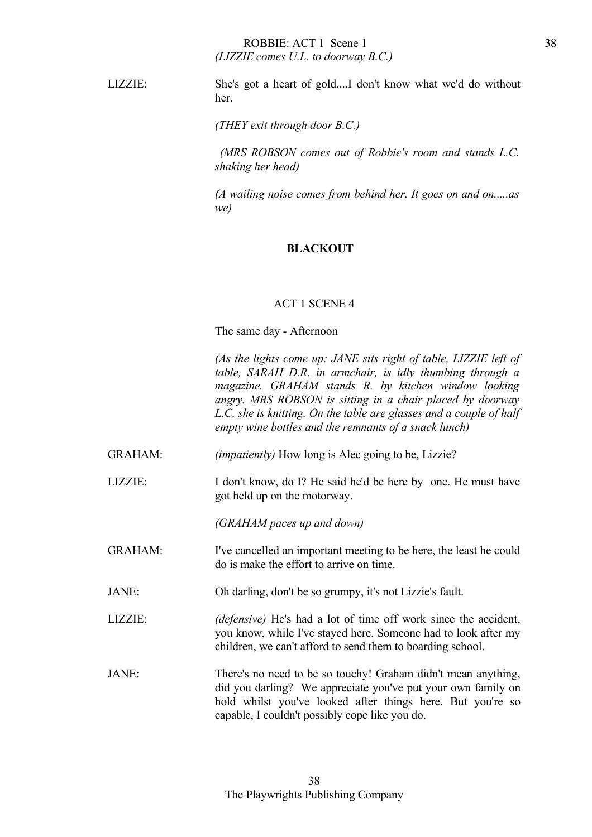## ROBBIE: ACT 1 Scene 1 *(LIZZIE comes U.L. to doorway B.C.)*

LIZZIE: She's got a heart of gold....I don't know what we'd do without her.

*(THEY exit through door B.C.)*

 *(MRS ROBSON comes out of Robbie's room and stands L.C. shaking her head)*

 *(A wailing noise comes from behind her. It goes on and on.....as we)*

#### **BLACKOUT**

#### ACT 1 SCENE 4

The same day - Afternoon

*(As the lights come up: JANE sits right of table, LIZZIE left of table, SARAH D.R. in armchair, is idly thumbing through a magazine. GRAHAM stands R. by kitchen window looking angry. MRS ROBSON is sitting in a chair placed by doorway L.C. she is knitting. On the table are glasses and a couple of half empty wine bottles and the remnants of a snack lunch)* 

GRAHAM: *(impatiently)* How long is Alec going to be, Lizzie?

LIZZIE: I don't know, do I? He said he'd be here by one. He must have got held up on the motorway.

*(GRAHAM paces up and down)*

- GRAHAM: I've cancelled an important meeting to be here, the least he could do is make the effort to arrive on time.
- JANE: Oh darling, don't be so grumpy, it's not Lizzie's fault.
- LIZZIE: *(defensive)* He's had a lot of time off work since the accident, you know, while I've stayed here. Someone had to look after my children, we can't afford to send them to boarding school.
- JANE: There's no need to be so touchy! Graham didn't mean anything, did you darling? We appreciate you've put your own family on hold whilst you've looked after things here. But you're so capable, I couldn't possibly cope like you do.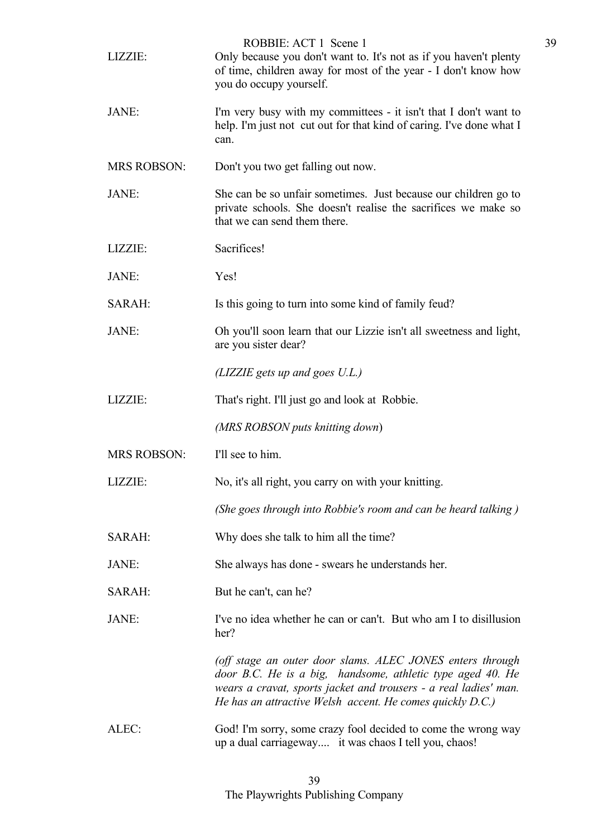| LIZZIE:            | ROBBIE: ACT 1 Scene 1<br>Only because you don't want to. It's not as if you haven't plenty<br>of time, children away for most of the year - I don't know how<br>you do occupy yourself.                                                                  |
|--------------------|----------------------------------------------------------------------------------------------------------------------------------------------------------------------------------------------------------------------------------------------------------|
| JANE:              | I'm very busy with my committees - it isn't that I don't want to<br>help. I'm just not cut out for that kind of caring. I've done what I<br>can.                                                                                                         |
| <b>MRS ROBSON:</b> | Don't you two get falling out now.                                                                                                                                                                                                                       |
| JANE:              | She can be so unfair sometimes. Just because our children go to<br>private schools. She doesn't realise the sacrifices we make so<br>that we can send them there.                                                                                        |
| LIZZIE:            | Sacrifices!                                                                                                                                                                                                                                              |
| JANE:              | Yes!                                                                                                                                                                                                                                                     |
| SARAH:             | Is this going to turn into some kind of family feud?                                                                                                                                                                                                     |
| JANE:              | Oh you'll soon learn that our Lizzie isn't all sweetness and light,<br>are you sister dear?                                                                                                                                                              |
|                    | $(LIZZIE$ gets up and goes $U.L$ .)                                                                                                                                                                                                                      |
| LIZZIE:            | That's right. I'll just go and look at Robbie.                                                                                                                                                                                                           |
|                    | (MRS ROBSON puts knitting down)                                                                                                                                                                                                                          |
| <b>MRS ROBSON:</b> | I'll see to him.                                                                                                                                                                                                                                         |
| LIZZIE:            | No, it's all right, you carry on with your knitting.                                                                                                                                                                                                     |
|                    | (She goes through into Robbie's room and can be heard talking)                                                                                                                                                                                           |
| SARAH:             | Why does she talk to him all the time?                                                                                                                                                                                                                   |
| JANE:              | She always has done - swears he understands her.                                                                                                                                                                                                         |
| SARAH:             | But he can't, can he?                                                                                                                                                                                                                                    |
| JANE:              | I've no idea whether he can or can't. But who am I to disillusion<br>her?                                                                                                                                                                                |
|                    | (off stage an outer door slams. ALEC JONES enters through<br>door B.C. He is a big, handsome, athletic type aged 40. He<br>wears a cravat, sports jacket and trousers - a real ladies' man.<br>He has an attractive Welsh accent. He comes quickly D.C.) |
| ALEC:              | God! I'm sorry, some crazy fool decided to come the wrong way<br>up a dual carriageway it was chaos I tell you, chaos!                                                                                                                                   |